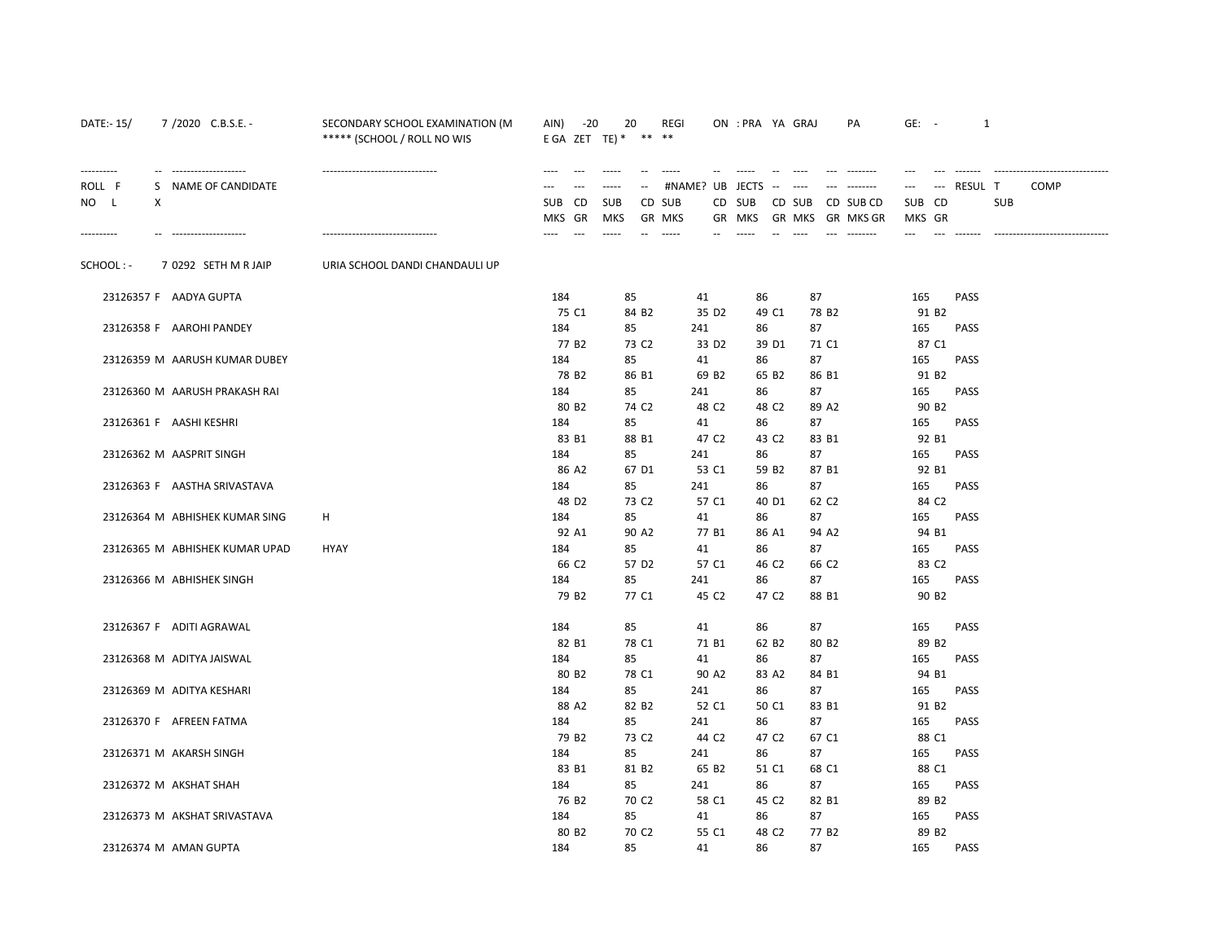| DATE:- 15/     | 7/2020 C.B.S.E. -              | SECONDARY SCHOOL EXAMINATION (M<br>***** (SCHOOL / ROLL NO WIS | $-20$<br>AIN)<br>E GA ZET TE) $*$ | 20                        | REGI<br>** **                | ON : PRA YA GRAJ      | PA                           | $GE: -$                  | $\mathbf{1}$   |                                   |
|----------------|--------------------------------|----------------------------------------------------------------|-----------------------------------|---------------------------|------------------------------|-----------------------|------------------------------|--------------------------|----------------|-----------------------------------|
| ----------     | -- ---------------------       | -------------------------------                                | $\cdots$                          | $- - - - -$               | #NAME? UB JECTS              |                       | and consider<br>$- - - -$    | $---$                    |                |                                   |
| ROLL F<br>NO L | S NAME OF CANDIDATE<br>Χ       |                                                                | SUB CD                            | <b>SUB</b>                | CD SUB                       | CD SUB                | CD SUB<br>CD SUB CD          | SUB CD                   | RESUL T<br>SUB | <b>COMP</b>                       |
| ----------     | --------------------           | -------------------------------                                | MKS GR<br>$---$<br>$---$          | <b>MKS</b><br>$- - - - -$ | <b>GR MKS</b><br>$- - - - -$ | GR MKS<br>$- - - - -$ | GR MKS<br>GR MKS GR<br>$---$ | MKS GR<br>$---$<br>$---$ | --------       | --------------------------------- |
| SCHOOL: -      | 7 0292 SETH M R JAIP           | URIA SCHOOL DANDI CHANDAULI UP                                 |                                   |                           |                              |                       |                              |                          |                |                                   |
|                | 23126357 F AADYA GUPTA         |                                                                | 184                               | 85                        | 41                           | 86                    | 87                           | 165                      | PASS           |                                   |
|                | 23126358 F AAROHI PANDEY       |                                                                | 75 C1<br>184                      | 84 B <sub>2</sub><br>85   | 35 D <sub>2</sub><br>241     | 49 C1                 | 78 B <sub>2</sub><br>87      | 91 B <sub>2</sub><br>165 | PASS           |                                   |
|                |                                |                                                                | 77 B <sub>2</sub>                 | 73 C <sub>2</sub>         | 33 D <sub>2</sub>            | 86<br>39 D1           | 71 C1                        | 87 C1                    |                |                                   |
|                | 23126359 M AARUSH KUMAR DUBEY  |                                                                | 184                               | 85                        | 41                           | 86                    | 87                           | 165                      | <b>PASS</b>    |                                   |
|                |                                |                                                                | 78 B <sub>2</sub>                 | 86 B1                     | 69 B <sub>2</sub>            | 65 B2                 | 86 B1                        | 91 B <sub>2</sub>        |                |                                   |
|                | 23126360 M AARUSH PRAKASH RAI  |                                                                | 184                               | 85                        | 241                          | 86                    | 87                           | 165                      | <b>PASS</b>    |                                   |
|                |                                |                                                                | 80 B <sub>2</sub>                 | 74 C <sub>2</sub>         | 48 C <sub>2</sub>            | 48 C <sub>2</sub>     | 89 A2                        | 90 B <sub>2</sub>        |                |                                   |
|                | 23126361 F AASHI KESHRI        |                                                                | 184                               | 85                        | 41                           | 86                    | 87                           | 165                      | PASS           |                                   |
|                |                                |                                                                | 83 B1                             | 88 B1                     | 47 C <sub>2</sub>            | 43 C2                 | 83 B1                        | 92 B1                    |                |                                   |
|                | 23126362 M AASPRIT SINGH       |                                                                | 184                               | 85                        | 241                          | 86                    | 87                           | 165                      | <b>PASS</b>    |                                   |
|                |                                |                                                                | 86 A2                             | 67 D1                     | 53 C1                        | 59 B <sub>2</sub>     | 87 B1                        | 92 B1                    |                |                                   |
|                | 23126363 F AASTHA SRIVASTAVA   |                                                                | 184                               | 85                        | 241                          | 86                    | 87                           | 165                      | <b>PASS</b>    |                                   |
|                |                                |                                                                | 48 D <sub>2</sub>                 | 73 C <sub>2</sub>         | 57 C1                        | 40 D1                 | 62 C <sub>2</sub>            | 84 C <sub>2</sub>        |                |                                   |
|                | 23126364 M ABHISHEK KUMAR SING | H                                                              | 184                               | 85                        | 41                           | 86                    | 87                           | 165                      | <b>PASS</b>    |                                   |
|                |                                |                                                                | 92 A1                             | 90 A2                     | 77 B1                        | 86 A1                 | 94 A2                        | 94 B1                    |                |                                   |
|                | 23126365 M ABHISHEK KUMAR UPAD | <b>HYAY</b>                                                    | 184                               | 85                        | 41                           | 86                    | 87                           | 165                      | <b>PASS</b>    |                                   |
|                |                                |                                                                | 66 C2<br>184                      | 57 D <sub>2</sub><br>85   | 57 C1<br>241                 | 46 C2<br>86           | 66 C <sub>2</sub><br>87      | 83 C <sub>2</sub><br>165 | <b>PASS</b>    |                                   |
|                | 23126366 M ABHISHEK SINGH      |                                                                | 79 B <sub>2</sub>                 | 77 C1                     | 45 C <sub>2</sub>            | 47 C <sub>2</sub>     | 88 B1                        | 90 B <sub>2</sub>        |                |                                   |
|                |                                |                                                                |                                   |                           |                              |                       |                              |                          |                |                                   |
|                | 23126367 F ADITI AGRAWAL       |                                                                | 184                               | 85                        | 41                           | 86                    | 87                           | 165                      | PASS           |                                   |
|                |                                |                                                                | 82 B1                             | 78 C1                     | 71 B1                        | 62 B <sub>2</sub>     | 80 B <sub>2</sub>            | 89 B <sub>2</sub>        |                |                                   |
|                | 23126368 M ADITYA JAISWAL      |                                                                | 184                               | 85                        | 41                           | 86                    | 87                           | 165                      | PASS           |                                   |
|                |                                |                                                                | 80 B <sub>2</sub>                 | 78 C1                     | 90 A2                        | 83 A2                 | 84 B1                        | 94 B1                    |                |                                   |
|                | 23126369 M ADITYA KESHARI      |                                                                | 184                               | 85                        | 241                          | 86                    | 87                           | 165                      | <b>PASS</b>    |                                   |
|                |                                |                                                                | 88 A2                             | 82 B <sub>2</sub>         | 52 C1                        | 50 C1                 | 83 B1                        | 91 B <sub>2</sub>        |                |                                   |
|                | 23126370 F AFREEN FATMA        |                                                                | 184                               | 85                        | 241                          | 86                    | 87                           | 165                      | <b>PASS</b>    |                                   |
|                |                                |                                                                | 79 B <sub>2</sub>                 | 73 C <sub>2</sub>         | 44 C <sub>2</sub>            | 47 C <sub>2</sub>     | 67 C1                        | 88 C1                    |                |                                   |
|                | 23126371 M AKARSH SINGH        |                                                                | 184                               | 85                        | 241                          | 86                    | 87                           | 165                      | PASS           |                                   |
|                |                                |                                                                | 83 B1                             | 81 B <sub>2</sub>         | 65 B <sub>2</sub>            | 51 C1                 | 68 C1                        | 88 C1                    |                |                                   |
|                | 23126372 M AKSHAT SHAH         |                                                                | 184                               | 85                        | 241                          | 86                    | 87                           | 165                      | PASS           |                                   |
|                |                                |                                                                | 76 B <sub>2</sub>                 | 70 C <sub>2</sub><br>85   | 58 C1                        | 45 C2                 | 82 B1                        | 89 B <sub>2</sub>        |                |                                   |
|                | 23126373 M AKSHAT SRIVASTAVA   |                                                                | 184<br>80 B <sub>2</sub>          | 70 C <sub>2</sub>         | 41<br>55 C1                  | 86<br>48 C2           | 87<br>77 B <sub>2</sub>      | 165<br>89 B <sub>2</sub> | <b>PASS</b>    |                                   |
|                | 23126374 M AMAN GUPTA          |                                                                | 184                               | 85                        | 41                           | 86                    | 87                           | 165                      | <b>PASS</b>    |                                   |
|                |                                |                                                                |                                   |                           |                              |                       |                              |                          |                |                                   |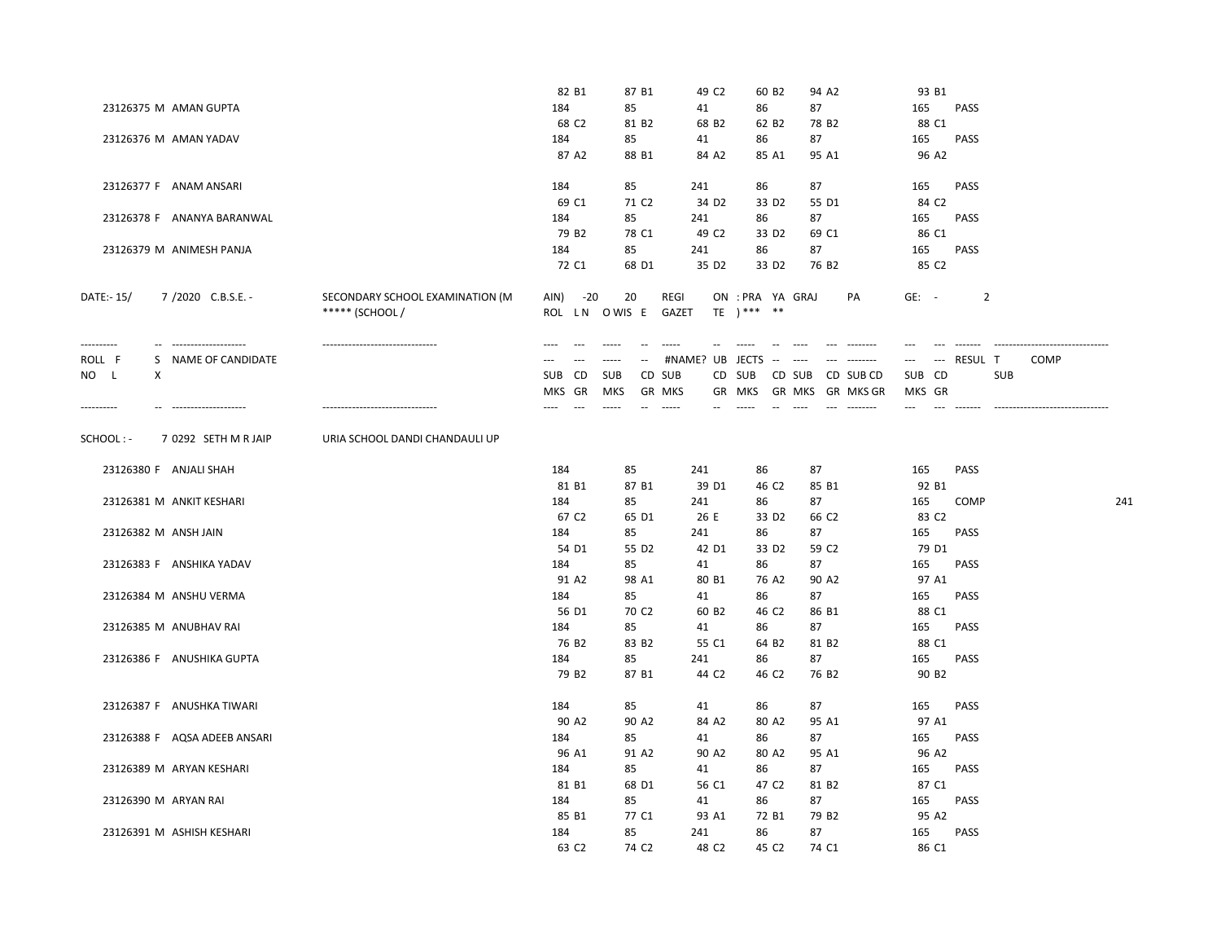|                                        |                                  | 82 B1             | 87 B1               | 49 C <sub>2</sub>                                                                                                                                                                                                                                                                                                                                                                                                                                    | 60 B <sub>2</sub>       | 94 A2                                                                                                           | 93 B1             |             |            |                                 |     |
|----------------------------------------|----------------------------------|-------------------|---------------------|------------------------------------------------------------------------------------------------------------------------------------------------------------------------------------------------------------------------------------------------------------------------------------------------------------------------------------------------------------------------------------------------------------------------------------------------------|-------------------------|-----------------------------------------------------------------------------------------------------------------|-------------------|-------------|------------|---------------------------------|-----|
| 23126375 M AMAN GUPTA                  |                                  | 184               | 85                  | 41                                                                                                                                                                                                                                                                                                                                                                                                                                                   | 86                      | 87                                                                                                              | 165               | <b>PASS</b> |            |                                 |     |
|                                        |                                  | 68 C <sub>2</sub> | 81 B <sub>2</sub>   | 68 B <sub>2</sub>                                                                                                                                                                                                                                                                                                                                                                                                                                    | 62 B <sub>2</sub>       | 78 B <sub>2</sub>                                                                                               | 88 C1             |             |            |                                 |     |
| 23126376 M AMAN YADAV                  |                                  | 184               | 85                  | 41                                                                                                                                                                                                                                                                                                                                                                                                                                                   | 86                      | 87                                                                                                              | 165               | PASS        |            |                                 |     |
|                                        |                                  | 87 A2             | 88 B1               | 84 A2                                                                                                                                                                                                                                                                                                                                                                                                                                                | 85 A1                   | 95 A1                                                                                                           | 96 A2             |             |            |                                 |     |
|                                        |                                  |                   |                     |                                                                                                                                                                                                                                                                                                                                                                                                                                                      |                         |                                                                                                                 |                   |             |            |                                 |     |
| 23126377 F ANAM ANSARI                 |                                  | 184               | 85                  | 241                                                                                                                                                                                                                                                                                                                                                                                                                                                  | 86                      | 87                                                                                                              | 165               | PASS        |            |                                 |     |
|                                        |                                  | 69 C1             | 71 C <sub>2</sub>   | 34 D <sub>2</sub>                                                                                                                                                                                                                                                                                                                                                                                                                                    | 33 D <sub>2</sub>       | 55 D1                                                                                                           | 84 C <sub>2</sub> |             |            |                                 |     |
| 23126378 F ANANYA BARANWAL             |                                  | 184               | 85                  | 241                                                                                                                                                                                                                                                                                                                                                                                                                                                  | 86                      | 87                                                                                                              | 165               | <b>PASS</b> |            |                                 |     |
|                                        |                                  | 79 B <sub>2</sub> | 78 C1               | 49 C <sub>2</sub>                                                                                                                                                                                                                                                                                                                                                                                                                                    | 33 D <sub>2</sub>       | 69 C1                                                                                                           | 86 C1             |             |            |                                 |     |
| 23126379 M ANIMESH PANJA               |                                  | 184               | 85                  | 241                                                                                                                                                                                                                                                                                                                                                                                                                                                  | 86                      | 87                                                                                                              | 165               | PASS        |            |                                 |     |
|                                        |                                  | 72 C1             | 68 D1               | 35 D <sub>2</sub>                                                                                                                                                                                                                                                                                                                                                                                                                                    | 33 D <sub>2</sub>       | 76 B <sub>2</sub>                                                                                               | 85 C <sub>2</sub> |             |            |                                 |     |
|                                        |                                  |                   |                     |                                                                                                                                                                                                                                                                                                                                                                                                                                                      |                         |                                                                                                                 |                   |             |            |                                 |     |
| 7 /2020 C.B.S.E. -<br>DATE:-15/        | SECONDARY SCHOOL EXAMINATION (M  | $-20$<br>AIN)     | 20                  | REGI                                                                                                                                                                                                                                                                                                                                                                                                                                                 | ON : PRA YA GRAJ        | PA                                                                                                              | $GE: -$           | 2           |            |                                 |     |
|                                        | ***** (SCHOOL /                  |                   | ROL LN OWIS E GAZET |                                                                                                                                                                                                                                                                                                                                                                                                                                                      | $TE$ ) *** **           |                                                                                                                 |                   |             |            |                                 |     |
|                                        |                                  |                   |                     |                                                                                                                                                                                                                                                                                                                                                                                                                                                      |                         |                                                                                                                 |                   |             |            |                                 |     |
| ----------<br>-- --------------------- | -------------------------------- | $-$<br>$---$      | $- - - - -$         | $\begin{array}{ccc} \mathbf{1} & \mathbf{1} & \mathbf{1} & \mathbf{1} & \mathbf{1} & \mathbf{1} & \mathbf{1} & \mathbf{1} & \mathbf{1} & \mathbf{1} & \mathbf{1} & \mathbf{1} & \mathbf{1} & \mathbf{1} & \mathbf{1} & \mathbf{1} & \mathbf{1} & \mathbf{1} & \mathbf{1} & \mathbf{1} & \mathbf{1} & \mathbf{1} & \mathbf{1} & \mathbf{1} & \mathbf{1} & \mathbf{1} & \mathbf{1} & \mathbf{1} & \mathbf{1} & \mathbf{1} & \mathbf$<br>$\overline{a}$ | $---$                   | $\mathcal{L}_{\mathcal{L}} = \mathcal{L}_{\mathcal{L}} = \mathcal{L}_{\mathcal{L}} = \mathcal{L}_{\mathcal{L}}$ | $---$<br>$-$      | --------    |            | ------------------------------- |     |
| ROLL F<br>S NAME OF CANDIDATE          |                                  |                   | $- - - - -$         | -- #NAME? UB JECTS -- ----                                                                                                                                                                                                                                                                                                                                                                                                                           |                         |                                                                                                                 | $\overline{a}$    | --- RESUL T |            | <b>COMP</b>                     |     |
| NO L<br>X                              |                                  | <b>SUB</b><br>CD  | SUB                 | CD SUB                                                                                                                                                                                                                                                                                                                                                                                                                                               | CD SUB                  | CD SUB CD SUB CD                                                                                                | SUB CD            |             | <b>SUB</b> |                                 |     |
|                                        |                                  | MKS GR            | MKS                 | <b>GR MKS</b>                                                                                                                                                                                                                                                                                                                                                                                                                                        | GR MKS                  | GR MKS GR MKS GR                                                                                                | MKS GR            |             |            |                                 |     |
| -- ---------------------<br>---------- | -------------------------------  | $\sim$            | $- - - - -$         | 1.1.1.1                                                                                                                                                                                                                                                                                                                                                                                                                                              |                         | $\cdots$<br>--- --------                                                                                        |                   |             |            |                                 |     |
|                                        |                                  |                   |                     |                                                                                                                                                                                                                                                                                                                                                                                                                                                      |                         |                                                                                                                 |                   |             |            |                                 |     |
| SCHOOL: -<br>7 0292 SETH M R JAIP      | URIA SCHOOL DANDI CHANDAULI UP   |                   |                     |                                                                                                                                                                                                                                                                                                                                                                                                                                                      |                         |                                                                                                                 |                   |             |            |                                 |     |
|                                        |                                  |                   |                     |                                                                                                                                                                                                                                                                                                                                                                                                                                                      |                         |                                                                                                                 |                   |             |            |                                 |     |
| 23126380 F ANJALI SHAH                 |                                  | 184               | 85                  | 241                                                                                                                                                                                                                                                                                                                                                                                                                                                  | 86                      | 87                                                                                                              | 165               | PASS        |            |                                 |     |
|                                        |                                  | 81 B1             | 87 B1               | 39 D1                                                                                                                                                                                                                                                                                                                                                                                                                                                | 46 C <sub>2</sub>       | 85 B1                                                                                                           | 92 B1             |             |            |                                 |     |
| 23126381 M ANKIT KESHARI               |                                  | 184               | 85                  | 241                                                                                                                                                                                                                                                                                                                                                                                                                                                  | 86                      | 87                                                                                                              | 165               | <b>COMP</b> |            |                                 | 241 |
|                                        |                                  | 67 C <sub>2</sub> | 65 D1               | 26 E                                                                                                                                                                                                                                                                                                                                                                                                                                                 | 33 D <sub>2</sub>       | 66 C2                                                                                                           | 83 C <sub>2</sub> |             |            |                                 |     |
| 23126382 M ANSH JAIN                   |                                  | 184               | 85                  | 241                                                                                                                                                                                                                                                                                                                                                                                                                                                  | 86                      | 87                                                                                                              | 165               | <b>PASS</b> |            |                                 |     |
|                                        |                                  | 54 D1             | 55 D <sub>2</sub>   | 42 D1                                                                                                                                                                                                                                                                                                                                                                                                                                                | 33 D <sub>2</sub>       | 59 C <sub>2</sub>                                                                                               | 79 D1             |             |            |                                 |     |
| 23126383 F ANSHIKA YADAV               |                                  | 184               | 85                  | 41                                                                                                                                                                                                                                                                                                                                                                                                                                                   | 86                      | 87                                                                                                              | 165               | <b>PASS</b> |            |                                 |     |
|                                        |                                  | 91 A2             | 98 A1               | 80 B1                                                                                                                                                                                                                                                                                                                                                                                                                                                | 76 A2                   | 90 A2                                                                                                           | 97 A1             |             |            |                                 |     |
| 23126384 M ANSHU VERMA                 |                                  | 184               | 85                  | 41                                                                                                                                                                                                                                                                                                                                                                                                                                                   | 86                      | 87                                                                                                              | 165               | PASS        |            |                                 |     |
|                                        |                                  | 56 D1             | 70 C <sub>2</sub>   | 60 B <sub>2</sub>                                                                                                                                                                                                                                                                                                                                                                                                                                    | 46 C <sub>2</sub>       | 86 B1                                                                                                           | 88 C1             |             |            |                                 |     |
| 23126385 M ANUBHAV RAI                 |                                  | 184               | 85                  | 41                                                                                                                                                                                                                                                                                                                                                                                                                                                   | 86                      | 87                                                                                                              | 165               | <b>PASS</b> |            |                                 |     |
|                                        |                                  | 76 B <sub>2</sub> | 83 B <sub>2</sub>   | 55 C1                                                                                                                                                                                                                                                                                                                                                                                                                                                | 64 B <sub>2</sub>       | 81 B2                                                                                                           | 88 C1             |             |            |                                 |     |
| 23126386 F ANUSHIKA GUPTA              |                                  | 184               | 85                  | 241                                                                                                                                                                                                                                                                                                                                                                                                                                                  |                         | 87                                                                                                              | 165               |             |            |                                 |     |
|                                        |                                  | 79 B <sub>2</sub> | 87 B1               | 44 C <sub>2</sub>                                                                                                                                                                                                                                                                                                                                                                                                                                    | 86<br>46 C <sub>2</sub> | 76 B <sub>2</sub>                                                                                               | 90 B <sub>2</sub> | PASS        |            |                                 |     |
|                                        |                                  |                   |                     |                                                                                                                                                                                                                                                                                                                                                                                                                                                      |                         |                                                                                                                 |                   |             |            |                                 |     |
| 23126387 F ANUSHKA TIWARI              |                                  | 184               | 85                  | 41                                                                                                                                                                                                                                                                                                                                                                                                                                                   |                         |                                                                                                                 | 165               | PASS        |            |                                 |     |
|                                        |                                  | 90 A2             | 90 A2               |                                                                                                                                                                                                                                                                                                                                                                                                                                                      | 86<br>80 A2             | 87<br>95 A1                                                                                                     |                   |             |            |                                 |     |
|                                        |                                  |                   |                     | 84 A2                                                                                                                                                                                                                                                                                                                                                                                                                                                |                         |                                                                                                                 | 97 A1             |             |            |                                 |     |
| 23126388 F AQSA ADEEB ANSARI           |                                  | 184               | 85                  | 41                                                                                                                                                                                                                                                                                                                                                                                                                                                   | 86                      | 87                                                                                                              | 165               | <b>PASS</b> |            |                                 |     |
|                                        |                                  | 96 A1             | 91 A2               | 90 A2                                                                                                                                                                                                                                                                                                                                                                                                                                                | 80 A2                   | 95 A1                                                                                                           | 96 A2             |             |            |                                 |     |
| 23126389 M ARYAN KESHARI               |                                  | 184               | 85                  | 41                                                                                                                                                                                                                                                                                                                                                                                                                                                   | 86                      | 87                                                                                                              | 165               | <b>PASS</b> |            |                                 |     |
|                                        |                                  | 81 B1             | 68 D1               | 56 C1                                                                                                                                                                                                                                                                                                                                                                                                                                                | 47 C <sub>2</sub>       | 81 B <sub>2</sub>                                                                                               | 87 C1             |             |            |                                 |     |
| 23126390 M ARYAN RAI                   |                                  | 184               | 85                  | 41                                                                                                                                                                                                                                                                                                                                                                                                                                                   | 86                      | 87                                                                                                              | 165               | <b>PASS</b> |            |                                 |     |
|                                        |                                  | 85 B1             | 77 C1               | 93 A1                                                                                                                                                                                                                                                                                                                                                                                                                                                | 72 B1                   | 79 B <sub>2</sub>                                                                                               | 95 A2             |             |            |                                 |     |
| 23126391 M ASHISH KESHARI              |                                  | 184               | 85                  | 241                                                                                                                                                                                                                                                                                                                                                                                                                                                  | 86                      | 87                                                                                                              | 165               | PASS        |            |                                 |     |
|                                        |                                  | 63 C <sub>2</sub> | 74 C <sub>2</sub>   | 48 C <sub>2</sub>                                                                                                                                                                                                                                                                                                                                                                                                                                    | 45 C <sub>2</sub>       | 74 C1                                                                                                           | 86 C1             |             |            |                                 |     |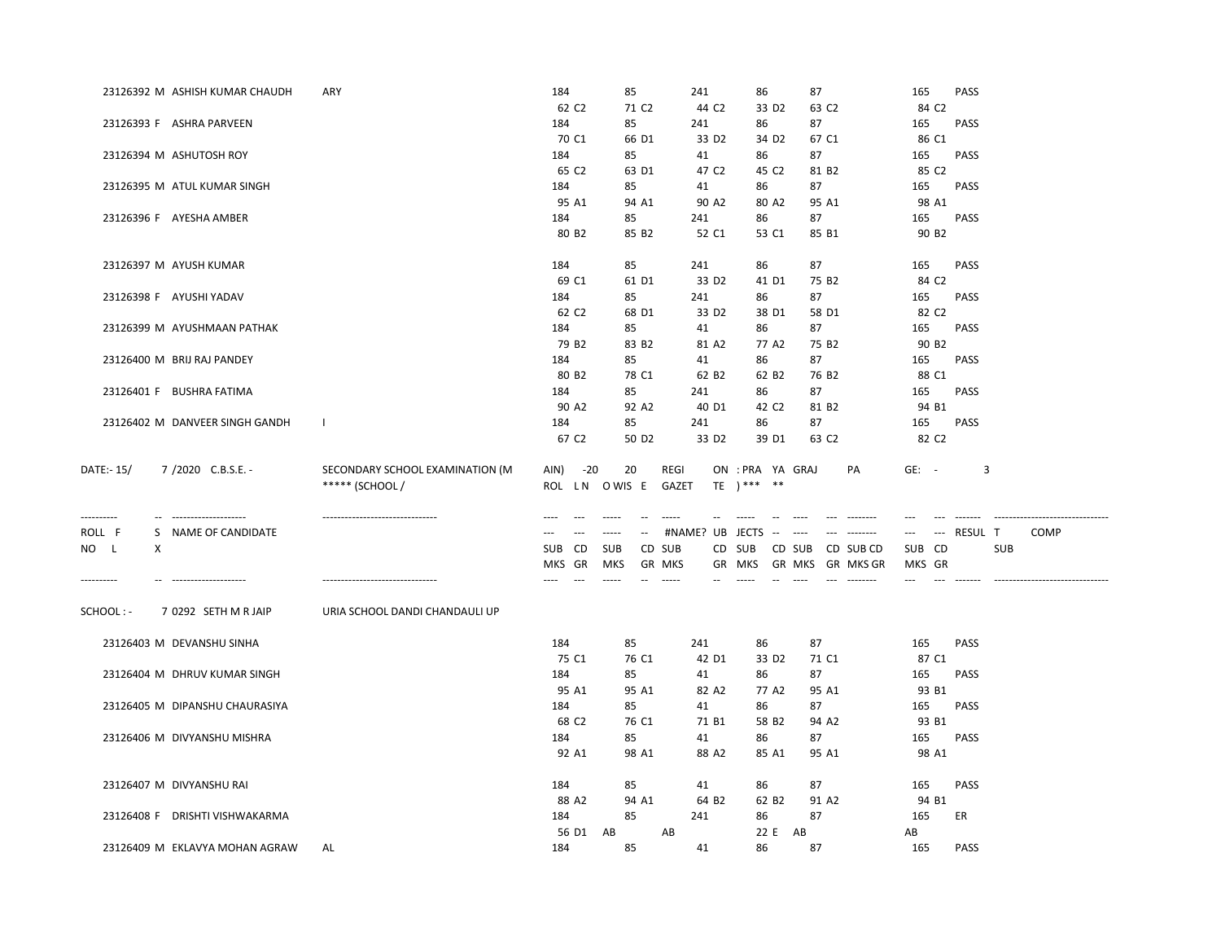|                          | 23126392 M ASHISH KUMAR CHAUDH | ARY                                                                                 | 184                     | 85                   | 241                     | 86                                | 87                                                                                                                           | 165               | <b>PASS</b>                                       |
|--------------------------|--------------------------------|-------------------------------------------------------------------------------------|-------------------------|----------------------|-------------------------|-----------------------------------|------------------------------------------------------------------------------------------------------------------------------|-------------------|---------------------------------------------------|
|                          |                                |                                                                                     | 62 C <sub>2</sub>       | 71 C <sub>2</sub>    | 44 C <sub>2</sub>       | 33 D <sub>2</sub>                 | 63 C <sub>2</sub>                                                                                                            | 84 C2             |                                                   |
|                          | 23126393 F ASHRA PARVEEN       |                                                                                     | 184                     | 85                   | 241                     | 86                                | 87                                                                                                                           | 165               | PASS                                              |
|                          |                                |                                                                                     | 70 C1                   | 66 D1                | 33 D <sub>2</sub>       | 34 D <sub>2</sub>                 | 67 C1                                                                                                                        | 86 C1             |                                                   |
| 23126394 M ASHUTOSH ROY  |                                |                                                                                     | 184                     | 85                   | 41                      | 86                                | 87                                                                                                                           | 165               | <b>PASS</b>                                       |
|                          |                                |                                                                                     | 65 C <sub>2</sub>       | 63 D1                | 47 C <sub>2</sub>       | 45 C2                             | 81 B <sub>2</sub><br>87                                                                                                      | 85 C <sub>2</sub> |                                                   |
|                          | 23126395 M ATUL KUMAR SINGH    |                                                                                     | 184                     | 85                   | 41                      | 86                                |                                                                                                                              | 165               | <b>PASS</b>                                       |
| 23126396 F AYESHA AMBER  |                                |                                                                                     | 95 A1<br>184            | 94 A1<br>85          | 90 A2<br>241            | 80 A2<br>86                       | 95 A1<br>87                                                                                                                  | 98 A1<br>165      | PASS                                              |
|                          |                                |                                                                                     | 80 B <sub>2</sub>       | 85 B <sub>2</sub>    | 52 C1                   | 53 C1                             | 85 B1                                                                                                                        | 90 B <sub>2</sub> |                                                   |
|                          |                                |                                                                                     |                         |                      |                         |                                   |                                                                                                                              |                   |                                                   |
| 23126397 M AYUSH KUMAR   |                                |                                                                                     | 184                     | 85                   | 241                     | 86                                | 87                                                                                                                           | 165               | <b>PASS</b>                                       |
|                          |                                |                                                                                     | 69 C1                   | 61 D1                | 33 D <sub>2</sub>       | 41 D1                             | 75 B <sub>2</sub>                                                                                                            | 84 C <sub>2</sub> |                                                   |
| 23126398 F AYUSHI YADAV  |                                |                                                                                     | 184                     | 85                   | 241                     | 86                                | 87                                                                                                                           | 165               | PASS                                              |
|                          |                                |                                                                                     | 62 C <sub>2</sub>       | 68 D1                | 33 D <sub>2</sub>       | 38 D1                             | 58 D1                                                                                                                        | 82 C <sub>2</sub> |                                                   |
|                          | 23126399 M AYUSHMAAN PATHAK    |                                                                                     | 184                     | 85                   | 41                      | 86                                | 87                                                                                                                           | 165               | <b>PASS</b>                                       |
|                          |                                |                                                                                     | 79 B <sub>2</sub>       | 83 B <sub>2</sub>    | 81 A2                   | 77 A2                             | 75 B <sub>2</sub>                                                                                                            | 90 B <sub>2</sub> |                                                   |
|                          | 23126400 M BRIJ RAJ PANDEY     |                                                                                     | 184                     | 85                   | 41                      | 86                                | 87                                                                                                                           | 165               | <b>PASS</b>                                       |
|                          |                                |                                                                                     | 80 B <sub>2</sub>       | 78 C1                | 62 B <sub>2</sub>       | 62 B <sub>2</sub>                 | 76 B <sub>2</sub>                                                                                                            | 88 C1             |                                                   |
|                          | 23126401 F BUSHRA FATIMA       |                                                                                     | 184                     | 85                   | 241                     | 86                                | 87                                                                                                                           | 165               | <b>PASS</b>                                       |
|                          |                                |                                                                                     | 90 A2                   | 92 A2                | 40 D1                   | 42 C <sub>2</sub>                 | 81 B2                                                                                                                        | 94 B1             |                                                   |
|                          | 23126402 M DANVEER SINGH GANDH | $\mathbf{1}$                                                                        | 184                     | 85                   | 241                     | 86                                | 87                                                                                                                           | 165               | <b>PASS</b>                                       |
|                          |                                |                                                                                     | 67 C <sub>2</sub>       | 50 D <sub>2</sub>    | 33 D <sub>2</sub>       | 39 D1                             | 63 C <sub>2</sub>                                                                                                            | 82 C <sub>2</sub> |                                                   |
| DATE:- 15/<br>---------- | 7/2020 C.B.S.E. -              | SECONDARY SCHOOL EXAMINATION (M<br>***** (SCHOOL /<br>----------------------------- | $-20$<br>AIN)<br>ROL LN | 20<br>O WIS E        | REGI<br>GAZET<br>-----  | ON : PRA YA GRAJ<br>$TE$ ) *** ** | PA                                                                                                                           | $GE: -$           | 3                                                 |
| ROLL F                   | S NAME OF CANDIDATE            |                                                                                     | $---$<br>$---$          | $\sim$<br>$\cdots$   | #NAME? UB JECTS -- ---- |                                   | $\label{eq:1} \begin{array}{lll} \mathcal{L}_{\text{max}} & \mathcal{L}_{\text{max}} & \mathcal{L}_{\text{max}} \end{array}$ | $\cdots$          | --- RESUL T<br><b>COMP</b>                        |
| NO L<br>X                |                                |                                                                                     | CD<br><b>SUB</b>        | <b>SUB</b><br>CD SUB |                         | CD SUB                            | CD SUB CD SUB CD                                                                                                             | SUB CD            | <b>SUB</b>                                        |
|                          |                                |                                                                                     | MKS GR                  | MKS<br>GR MKS        |                         | GR MKS                            | GR MKS GR MKS GR                                                                                                             | MKS GR            |                                                   |
| ----------               | -------------------            |                                                                                     | $-$                     | $- - - - -$          | -----                   |                                   | $\begin{array}{ccc} - & - & - & - & - & - & - \\ & - & - & - & - & - \\ & - & - & - & - & - \end{array}$                     | $---$             | $- - - - - - -$<br>------------------------------ |
| SCHOOL : -               | 7 0292 SETH M R JAIP           | URIA SCHOOL DANDI CHANDAULI UP                                                      |                         |                      |                         |                                   |                                                                                                                              |                   |                                                   |
|                          | 23126403 M DEVANSHU SINHA      |                                                                                     | 184                     | 85                   | 241                     | 86                                | 87                                                                                                                           | 165               | PASS                                              |
|                          |                                |                                                                                     | 75 C1                   | 76 C1                | 42 D1                   | 33 D <sub>2</sub>                 | 71 C1                                                                                                                        | 87 C1             |                                                   |
|                          | 23126404 M DHRUV KUMAR SINGH   |                                                                                     | 184                     | 85                   | 41                      | 86                                | 87                                                                                                                           | 165               | <b>PASS</b>                                       |
|                          |                                |                                                                                     | 95 A1                   | 95 A1                | 82 A2                   | 77 A2                             | 95 A1                                                                                                                        | 93 B1             |                                                   |
|                          | 23126405 M DIPANSHU CHAURASIYA |                                                                                     | 184                     | 85                   | 41                      | 86                                | 87                                                                                                                           | 165               | <b>PASS</b>                                       |
|                          |                                |                                                                                     | 68 C <sub>2</sub>       | 76 C1                | 71 B1                   | 58 B <sub>2</sub>                 | 94 A2                                                                                                                        | 93 B1             |                                                   |
|                          | 23126406 M DIVYANSHU MISHRA    |                                                                                     | 184                     | 85                   | 41                      | 86                                | 87                                                                                                                           | 165               | PASS                                              |
|                          |                                |                                                                                     | 92 A1                   | 98 A1                | 88 A2                   | 85 A1                             | 95 A1                                                                                                                        | 98 A1             |                                                   |
|                          |                                |                                                                                     |                         |                      |                         |                                   |                                                                                                                              |                   |                                                   |
| 23126407 M DIVYANSHU RAI |                                |                                                                                     | 184                     | 85                   | 41                      | 86                                | 87                                                                                                                           | 165               | PASS                                              |
|                          |                                |                                                                                     | 88 A2                   | 94 A1                | 64 B <sub>2</sub>       | 62 B <sub>2</sub>                 | 91 A2                                                                                                                        | 94 B1             |                                                   |
|                          | 23126408 F DRISHTI VISHWAKARMA |                                                                                     | 184<br>56 D1 AB         | 85                   | 241<br>AB               | 86<br>22 E<br>AB                  | 87                                                                                                                           | 165               | ER                                                |
|                          | 23126409 M EKLAVYA MOHAN AGRAW | AL                                                                                  | 184                     | 85                   | 41                      | 86                                | 87                                                                                                                           | AB<br>165         | PASS                                              |
|                          |                                |                                                                                     |                         |                      |                         |                                   |                                                                                                                              |                   |                                                   |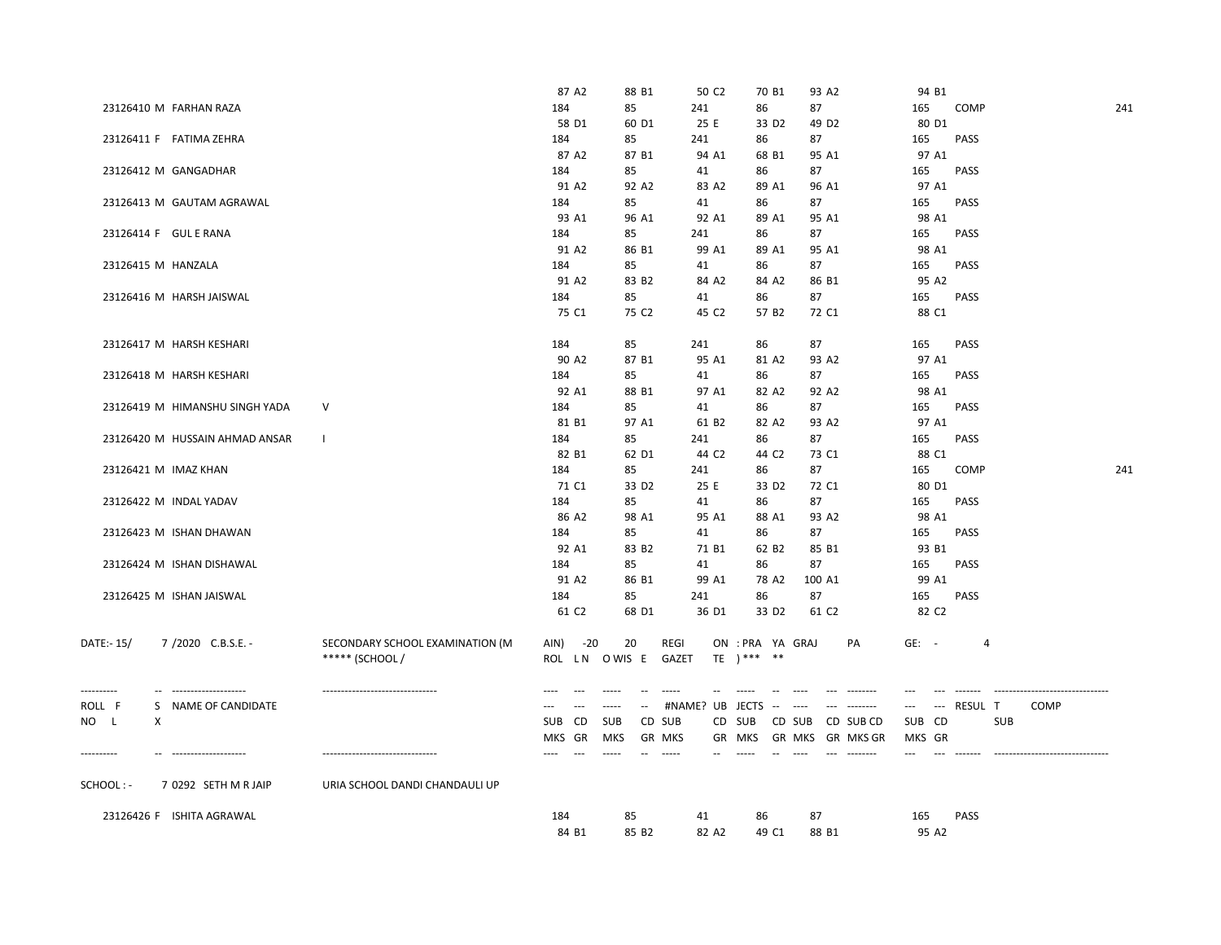|                      | 23126426 F ISHITA AGRAWAL                   |                                                    | 184<br>84 B1                 | 85<br>85 B <sub>2</sub>      | 41<br>82 A2                | 86<br>49 C1                       | 87<br>88 B1       |                  | 165<br>95 A2      | <b>PASS</b>    |                                  |     |
|----------------------|---------------------------------------------|----------------------------------------------------|------------------------------|------------------------------|----------------------------|-----------------------------------|-------------------|------------------|-------------------|----------------|----------------------------------|-----|
| SCHOOL:-             | 7 0292 SETH M R JAIP                        | URIA SCHOOL DANDI CHANDAULI UP                     |                              |                              |                            |                                   |                   |                  |                   |                |                                  |     |
|                      |                                             |                                                    | GR<br>MKS                    | MKS                          | <b>GR MKS</b><br>GR        | MKS                               |                   | GR MKS GR MKS GR | MKS GR            |                |                                  |     |
| NO L                 | Χ                                           |                                                    | CD<br>SUB                    | <b>SUB</b>                   | CD SUB<br>CD               | SUB                               | CD SUB            | CD SUB CD        | <b>SUB</b><br>CD  |                | <b>SUB</b>                       |     |
| ----------<br>ROLL F | --------------------<br>S NAME OF CANDIDATE | -------------------------------                    | $-$<br>---<br>$\overline{a}$ | $-$<br>$\sim$<br>$- - - - -$ | $\frac{1}{2}$<br>#NAME? UB | JECTS<br>$\sim$                   | $\cdots$          | --------         | $\cdots$          | --- RESUL T    | -----------------<br><b>COMP</b> |     |
| DATE:-15/            | 7/2020 C.B.S.E. -                           | SECONDARY SCHOOL EXAMINATION (M<br>***** (SCHOOL / | $-20$<br>AIN)<br>ROL LN      | 20<br>O WIS E                | <b>REGI</b><br>GAZET       | ON : PRA YA GRAJ<br>$TE$ ) *** ** |                   | PA               | $GE: -$           | $\overline{4}$ |                                  |     |
|                      |                                             |                                                    | 61 C <sub>2</sub>            | 68 D1                        | 36 D1                      | 33 D <sub>2</sub>                 | 61 C <sub>2</sub> |                  | 82 C <sub>2</sub> |                |                                  |     |
|                      | 23126425 M ISHAN JAISWAL                    |                                                    | 91 A2<br>184                 | 86 B1<br>85                  | 99 A1<br>241               | 78 A2<br>86                       | 100 A1<br>87      |                  | 99 A1<br>165      | PASS           |                                  |     |
|                      | 23126424 M ISHAN DISHAWAL                   |                                                    | 184                          | 85                           | 41                         | 86                                | 87                |                  | 165               | PASS           |                                  |     |
|                      |                                             |                                                    | 92 A1                        | 83 B <sub>2</sub>            | 71 B1                      | 62 B <sub>2</sub>                 | 85 B1             |                  | 93 B1             |                |                                  |     |
|                      | 23126423 M ISHAN DHAWAN                     |                                                    | 184                          | 85                           | 41                         | 86                                | 87                |                  | 165               | <b>PASS</b>    |                                  |     |
|                      |                                             |                                                    | 86 A2                        | 98 A1                        | 95 A1                      | 88 A1                             | 93 A <sub>2</sub> |                  | 98 A1             |                |                                  |     |
|                      | 23126422 M INDAL YADAV                      |                                                    | 71 C1<br>184                 | 33 D <sub>2</sub><br>85      | 25 E<br>41                 | 33 D <sub>2</sub><br>86           | 72 C1<br>87       |                  | 80 D1<br>165      | <b>PASS</b>    |                                  |     |
|                      | 23126421 M IMAZ KHAN                        |                                                    | 184                          | 85                           | 241                        | 86                                | 87                |                  | 165               | <b>COMP</b>    |                                  | 241 |
|                      |                                             |                                                    | 82 B1                        | 62 D1                        | 44 C <sub>2</sub>          | 44 C <sub>2</sub>                 | 73 C1             |                  | 88 C1             |                |                                  |     |
|                      | 23126420 M HUSSAIN AHMAD ANSAR              | $\mathbf{I}$                                       | 184                          | 85                           | 241                        | 86                                | 87                |                  | 165               | <b>PASS</b>    |                                  |     |
|                      |                                             |                                                    | 81 B1                        | 97 A1                        | 61 B <sub>2</sub>          | 82 A2                             | 93 A2             |                  | 97 A1             |                |                                  |     |
|                      | 23126419 M HIMANSHU SINGH YADA              | $\vee$                                             | 184                          | 85                           | 41                         | 86                                | 87                |                  | 165               | <b>PASS</b>    |                                  |     |
|                      | 23126418 M HARSH KESHARI                    |                                                    | 184<br>92 A1                 | 85<br>88 B1                  | 41<br>97 A1                | 86<br>82 A2                       | 87<br>92 A2       |                  | 165<br>98 A1      | <b>PASS</b>    |                                  |     |
|                      |                                             |                                                    | 90 A2                        | 87 B1                        | 95 A1                      | 81 A2                             | 93 A2             |                  | 97 A1             |                |                                  |     |
|                      | 23126417 M HARSH KESHARI                    |                                                    | 184                          | 85                           | 241                        | 86                                | 87                |                  | 165               | PASS           |                                  |     |
|                      |                                             |                                                    | 75 C1                        | 75 C <sub>2</sub>            | 45 C <sub>2</sub>          | 57 B <sub>2</sub>                 | 72 C1             |                  | 88 C1             |                |                                  |     |
|                      | 23126416 M HARSH JAISWAL                    |                                                    | 184                          | 85                           | 41                         | 86                                | 87                |                  | 165               | <b>PASS</b>    |                                  |     |
|                      |                                             |                                                    | 91 A2                        | 83 B <sub>2</sub>            | 84 A2                      | 84 A2                             | 86 B1             |                  | 95 A2             |                |                                  |     |
|                      | 23126415 M HANZALA                          |                                                    | 184                          | 85                           | 41                         | 86                                | 87                |                  | 165               | PASS           |                                  |     |
|                      |                                             |                                                    | 91 A2                        | 86 B1                        | 99 A1                      | 89 A1                             | 95 A1             |                  | 98 A1             |                |                                  |     |
|                      | 23126414 F GUL E RANA                       |                                                    | 93 A1<br>184                 | 96 A1<br>85                  | 92 A1<br>241               | 89 A1<br>86                       | 95 A1<br>87       |                  | 98 A1<br>165      | <b>PASS</b>    |                                  |     |
|                      | 23126413 M GAUTAM AGRAWAL                   |                                                    | 184                          | 85                           | 41                         | 86                                | 87                |                  | 165               | PASS           |                                  |     |
|                      |                                             |                                                    | 91 A2                        | 92 A2                        | 83 A2                      | 89 A1                             | 96 A1             |                  | 97 A1             |                |                                  |     |
|                      | 23126412 M GANGADHAR                        |                                                    | 184                          | 85                           | 41                         | 86                                | 87                |                  | 165               | <b>PASS</b>    |                                  |     |
|                      |                                             |                                                    | 87 A2                        | 87 B1                        | 94 A1                      | 68 B1                             | 95 A1             |                  | 97 A1             |                |                                  |     |
|                      | 23126411 F FATIMA ZEHRA                     |                                                    | 184                          | 85                           | 241                        | 86                                | 87                |                  | 165               | PASS           |                                  |     |
|                      | 23126410 M FARHAN RAZA                      |                                                    | 58 D1                        | 60 D1                        | 25 E                       | 33 D <sub>2</sub>                 | 49 D <sub>2</sub> |                  | 80 D1             |                |                                  |     |
|                      |                                             |                                                    | 87 A2<br>184                 | 88 B1<br>85                  | 50 C <sub>2</sub><br>241   | 70 B1<br>86                       | 93 A2<br>87       |                  | 94 B1<br>165      | <b>COMP</b>    |                                  | 241 |
|                      |                                             |                                                    |                              |                              |                            |                                   |                   |                  |                   |                |                                  |     |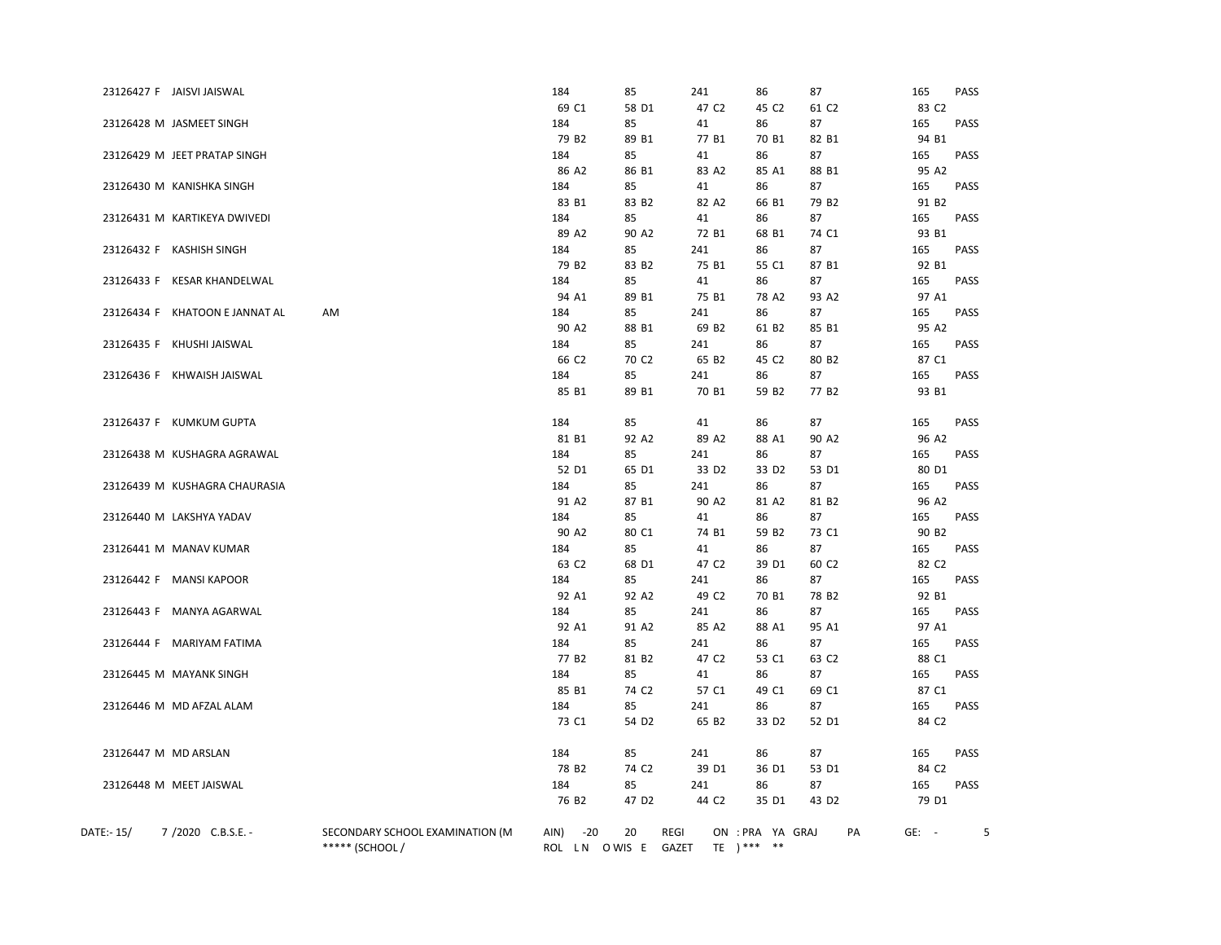|            | 23126427 F JAISVI JAISWAL      |                                 | 184               | 85                | 241               | 86                | 87                | 165               | <b>PASS</b> |
|------------|--------------------------------|---------------------------------|-------------------|-------------------|-------------------|-------------------|-------------------|-------------------|-------------|
|            |                                |                                 | 69 C1             | 58 D1             | 47 C <sub>2</sub> | 45 C2             | 61 C <sub>2</sub> | 83 C <sub>2</sub> |             |
|            | 23126428 M JASMEET SINGH       |                                 | 184               | 85                | 41                | 86                | 87                | 165               | PASS        |
|            |                                |                                 | 79 B <sub>2</sub> | 89 B1             | 77 B1             | 70 B1             | 82 B1             | 94 B1             |             |
|            | 23126429 M JEET PRATAP SINGH   |                                 | 184               | 85                | 41                | 86                | 87                | 165               | <b>PASS</b> |
|            |                                |                                 | 86 A2             | 86 B1             | 83 A2             | 85 A1             | 88 B1             | 95 A2             |             |
|            | 23126430 M KANISHKA SINGH      |                                 | 184               | 85                | 41                | 86                | 87                | 165               | PASS        |
|            |                                |                                 | 83 B1             | 83 B <sub>2</sub> | 82 A2             | 66 B1             | 79 B <sub>2</sub> | 91 B <sub>2</sub> |             |
|            | 23126431 M KARTIKEYA DWIVEDI   |                                 | 184               | 85                | 41                | 86                | 87                | 165               | <b>PASS</b> |
|            |                                |                                 | 89 A2             | 90 A <sub>2</sub> | 72 B1             | 68 B1             | 74 C1             | 93 B1             |             |
|            | 23126432 F KASHISH SINGH       |                                 | 184               | 85                | 241               | 86                | 87                | 165               | PASS        |
|            |                                |                                 | 79 B <sub>2</sub> | 83 B <sub>2</sub> | 75 B1             | 55 C1             | 87 B1             | 92 B1             |             |
|            | 23126433 F KESAR KHANDELWAL    |                                 | 184               | 85                | 41                | 86                | 87                | 165               | PASS        |
|            |                                |                                 | 94 A1             | 89 B1             | 75 B1             | 78 A2             | 93 A2             | 97 A1             |             |
|            | 23126434 F KHATOON E JANNAT AL | AM                              | 184               | 85                | 241               | 86                | 87                | 165               | PASS        |
|            |                                |                                 | 90 A2             | 88 B1             | 69 B <sub>2</sub> | 61 B2             | 85 B1             | 95 A2             |             |
|            | 23126435 F KHUSHI JAISWAL      |                                 | 184               | 85                | 241               | 86                | 87                | 165               | PASS        |
|            |                                |                                 | 66 C <sub>2</sub> | 70 C <sub>2</sub> | 65 B <sub>2</sub> | 45 C <sub>2</sub> | 80 B <sub>2</sub> | 87 C1             |             |
|            | 23126436 F KHWAISH JAISWAL     |                                 | 184               | 85                | 241               | 86                | 87                | 165               | PASS        |
|            |                                |                                 | 85 B1             | 89 B1             | 70 B1             | 59 B <sub>2</sub> | 77 B <sub>2</sub> | 93 B1             |             |
|            |                                |                                 |                   |                   |                   |                   |                   |                   |             |
|            | 23126437 F KUMKUM GUPTA        |                                 | 184               | 85                | 41                | 86                | 87                | 165               | PASS        |
|            |                                |                                 | 81 B1             | 92 A2             | 89 A2             | 88 A1             | 90 A2             | 96 A2             |             |
|            | 23126438 M KUSHAGRA AGRAWAL    |                                 | 184               | 85                | 241               | 86                | 87                | 165               | PASS        |
|            |                                |                                 | 52 D1             | 65 D1             | 33 D <sub>2</sub> | 33 D <sub>2</sub> | 53 D1             | 80 D1             |             |
|            | 23126439 M KUSHAGRA CHAURASIA  |                                 | 184               | 85                | 241               | 86                | 87                | 165               | <b>PASS</b> |
|            |                                |                                 | 91 A2             | 87 B1             | 90 A2             | 81 A2             | 81 B <sub>2</sub> | 96 A2             |             |
|            | 23126440 M LAKSHYA YADAV       |                                 | 184               | 85                | 41                | 86                | 87                | 165               | PASS        |
|            |                                |                                 | 90 A2             | 80 C1             | 74 B1             | 59 B <sub>2</sub> | 73 C1             | 90 B <sub>2</sub> |             |
|            | 23126441 M MANAV KUMAR         |                                 | 184               | 85                | 41                | 86                | 87                | 165               | <b>PASS</b> |
|            |                                |                                 | 63 C <sub>2</sub> | 68 D1             | 47 C <sub>2</sub> | 39 D1             | 60 C2             | 82 C <sub>2</sub> |             |
|            | 23126442 F MANSI KAPOOR        |                                 | 184               | 85                | 241               |                   | 87                | 165               | PASS        |
|            |                                |                                 | 92 A1             |                   | 49 C <sub>2</sub> | 86                |                   | 92 B1             |             |
|            |                                |                                 |                   | 92 A2             |                   | 70 B1             | 78 B <sub>2</sub> |                   |             |
|            | 23126443 F MANYA AGARWAL       |                                 | 184               | 85                | 241               | 86                | 87                | 165<br>97 A1      | PASS        |
|            |                                |                                 | 92 A1             | 91 A <sub>2</sub> | 85 A2             | 88 A1             | 95 A1             |                   |             |
|            | 23126444 F MARIYAM FATIMA      |                                 | 184               | 85                | 241               | 86                | 87                | 165               | <b>PASS</b> |
|            |                                |                                 | 77 B <sub>2</sub> | 81 B <sub>2</sub> | 47 C <sub>2</sub> | 53 C1             | 63 C2             | 88 C1             |             |
|            | 23126445 M MAYANK SINGH        |                                 | 184               | 85                | 41                | 86                | 87                | 165               | PASS        |
|            |                                |                                 | 85 B1             | 74 C <sub>2</sub> | 57 C1             | 49 C1             | 69 C1             | 87 C1             |             |
|            | 23126446 M MD AFZAL ALAM       |                                 | 184               | 85                | 241               | 86                | 87                | 165               | <b>PASS</b> |
|            |                                |                                 | 73 C1             | 54 D <sub>2</sub> | 65 B <sub>2</sub> | 33 D <sub>2</sub> | 52 D1             | 84 C <sub>2</sub> |             |
|            |                                |                                 |                   |                   |                   |                   |                   |                   |             |
|            | 23126447 M MD ARSLAN           |                                 | 184               | 85                | 241               | 86                | 87                | 165               | PASS        |
|            |                                |                                 | 78 B <sub>2</sub> | 74 C <sub>2</sub> | 39 D1             | 36 D1             | 53 D1             | 84 C <sub>2</sub> |             |
|            | 23126448 M MEET JAISWAL        |                                 | 184               | 85                | 241               | 86                | 87                | 165               | PASS        |
|            |                                |                                 | 76 B <sub>2</sub> | 47 D <sub>2</sub> | 44 C <sub>2</sub> | 35 D1             | 43 D <sub>2</sub> | 79 D1             |             |
|            |                                |                                 |                   |                   |                   |                   |                   |                   |             |
| DATE:- 15/ | 7/2020 C.B.S.E. -              | SECONDARY SCHOOL EXAMINATION (M | AIN)<br>$-20$     | 20                | REGI              | ON : PRA YA GRAJ  | PA                | $GE: -$           | 5           |
|            |                                | ***** (SCHOOL /                 | ROL LN OWIS E     |                   | GAZET             | TE $)***$ **      |                   |                   |             |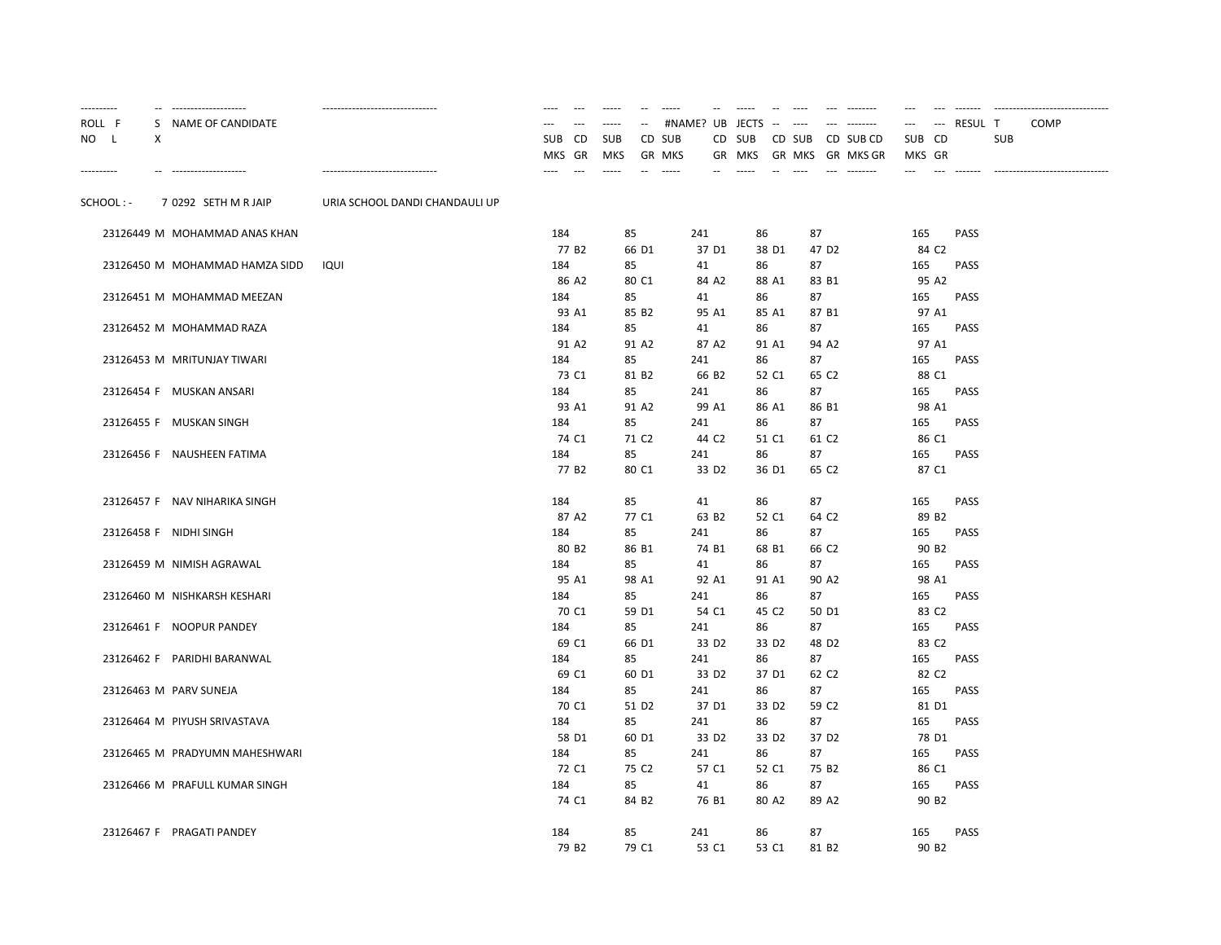| ---------- |                        | --------------------           | -------------------------------- | $-$<br>----                                 | $\cdots$                 | $- -$             | $- - - - -$             |                   | $- - - - -$       | $---$            | $- - - - - - - -$             | $---$                | $---$             | $- - - - - - -$   |            | ------------------------------- |
|------------|------------------------|--------------------------------|----------------------------------|---------------------------------------------|--------------------------|-------------------|-------------------------|-------------------|-------------------|------------------|-------------------------------|----------------------|-------------------|-------------------|------------|---------------------------------|
| ROLL F     |                        | S NAME OF CANDIDATE            |                                  |                                             |                          |                   | #NAME? UB JECTS         |                   |                   | $---$            |                               |                      | ---               | RESUL T           |            | <b>COMP</b>                     |
| NO L       | Χ                      |                                |                                  | <b>SUB</b><br><b>CD</b><br>GR<br><b>MKS</b> | <b>SUB</b><br><b>MKS</b> |                   | CD SUB<br><b>GR MKS</b> |                   | CD SUB<br>GR MKS  | CD SUB<br>GR MKS | CD SUB CD<br><b>GR MKS GR</b> | <b>SUB</b><br>MKS GR | CD                |                   | <b>SUB</b> |                                 |
| ---------- |                        | --------------------           | -------------------------------- |                                             | $- - - - -$              |                   | -----                   |                   |                   |                  |                               | ---                  |                   | $- - - - - - - -$ |            |                                 |
| SCHOOL: -  |                        | 7 0292 SETH M R JAIP           | URIA SCHOOL DANDI CHANDAULI UP   |                                             |                          |                   |                         |                   |                   |                  |                               |                      |                   |                   |            |                                 |
|            |                        | 23126449 M MOHAMMAD ANAS KHAN  |                                  | 184                                         |                          | 85                | 241                     |                   | 86                | 87               |                               | 165                  |                   | PASS              |            |                                 |
|            |                        |                                |                                  | 77 B2                                       |                          | 66 D1             |                         | 37 D1             | 38 D1             |                  | 47 D <sub>2</sub>             |                      | 84 C <sub>2</sub> |                   |            |                                 |
|            |                        | 23126450 M MOHAMMAD HAMZA SIDD | IQUI                             | 184                                         |                          | 85                | 41                      |                   | 86                | 87               |                               | 165                  |                   | <b>PASS</b>       |            |                                 |
|            |                        |                                |                                  | 86 A2                                       |                          | 80 C1             |                         | 84 A2             | 88 A1             |                  | 83 B1                         |                      | 95 A2             |                   |            |                                 |
|            |                        | 23126451 M MOHAMMAD MEEZAN     |                                  | 184                                         |                          | 85                | 41                      |                   | 86                | 87               |                               | 165                  |                   | PASS              |            |                                 |
|            |                        |                                |                                  | 93 A1                                       |                          | 85 B <sub>2</sub> |                         | 95 A1             | 85 A1             |                  | 87 B1                         |                      | 97 A1             |                   |            |                                 |
|            |                        | 23126452 M MOHAMMAD RAZA       |                                  | 184                                         |                          | 85                | 41                      |                   | 86                | 87               |                               | 165                  |                   | PASS              |            |                                 |
|            |                        |                                |                                  | 91 A2                                       |                          | 91 A2             |                         | 87 A2             | 91 A1             |                  | 94 A2                         |                      | 97 A1             |                   |            |                                 |
|            |                        | 23126453 M MRITUNJAY TIWARI    |                                  | 184                                         |                          | 85                | 241                     |                   | 86                | 87               |                               | 165                  |                   | PASS              |            |                                 |
|            |                        |                                |                                  | 73 C1                                       |                          | 81 B <sub>2</sub> |                         | 66 B <sub>2</sub> | 52 C1             |                  | 65 C <sub>2</sub>             |                      | 88 C1             |                   |            |                                 |
|            |                        | 23126454 F MUSKAN ANSARI       |                                  | 184                                         |                          | 85                | 241                     |                   | 86                | 87               |                               | 165                  |                   | PASS              |            |                                 |
|            |                        |                                |                                  | 93 A1                                       |                          | 91 A2             |                         | 99 A1             | 86 A1             |                  | 86 B1                         |                      | 98 A1             |                   |            |                                 |
|            |                        | 23126455 F MUSKAN SINGH        |                                  | 184                                         |                          | 85                | 241                     |                   | 86                | 87               |                               | 165                  |                   | <b>PASS</b>       |            |                                 |
|            |                        |                                |                                  | 74 C1                                       |                          | 71 C <sub>2</sub> |                         | 44 C <sub>2</sub> | 51 C1             |                  | 61 C <sub>2</sub>             |                      | 86 C1             |                   |            |                                 |
|            |                        | 23126456 F NAUSHEEN FATIMA     |                                  | 184                                         |                          | 85                | 241                     |                   | 86                | 87               |                               | 165                  |                   | PASS              |            |                                 |
|            |                        |                                |                                  | 77 B <sub>2</sub>                           |                          | 80 C1             |                         | 33 D <sub>2</sub> | 36 D1             |                  | 65 C <sub>2</sub>             |                      | 87 C1             |                   |            |                                 |
|            |                        | 23126457 F NAV NIHARIKA SINGH  |                                  | 184                                         |                          | 85                |                         | 41                | 86                | 87               |                               | 165                  |                   | <b>PASS</b>       |            |                                 |
|            |                        |                                |                                  | 87 A2                                       |                          | 77 C1             |                         | 63 B <sub>2</sub> | 52 C1             |                  | 64 C <sub>2</sub>             |                      | 89 B <sub>2</sub> |                   |            |                                 |
|            | 23126458 F NIDHI SINGH |                                |                                  | 184                                         |                          | 85                | 241                     |                   | 86                | 87               |                               | 165                  |                   | <b>PASS</b>       |            |                                 |
|            |                        |                                |                                  | 80 B <sub>2</sub>                           |                          | 86 B1             |                         | 74 B1             | 68 B1             |                  | 66 C <sub>2</sub>             |                      | 90 B <sub>2</sub> |                   |            |                                 |
|            |                        | 23126459 M NIMISH AGRAWAL      |                                  | 184                                         |                          | 85                |                         | 41                | 86                | 87               |                               | 165                  |                   | <b>PASS</b>       |            |                                 |
|            |                        |                                |                                  | 95 A1                                       |                          | 98 A1             |                         | 92 A1             | 91 A1             |                  | 90 A2                         |                      | 98 A1             |                   |            |                                 |
|            |                        | 23126460 M NISHKARSH KESHARI   |                                  | 184                                         |                          | 85                | 241                     |                   | 86                | 87               |                               | 165                  |                   | <b>PASS</b>       |            |                                 |
|            |                        |                                |                                  | 70 C1                                       |                          | 59 D1             |                         | 54 C1             | 45 C <sub>2</sub> |                  | 50 D1                         |                      | 83 C <sub>2</sub> |                   |            |                                 |
|            |                        | 23126461 F NOOPUR PANDEY       |                                  | 184                                         |                          | 85                | 241                     |                   | 86                | 87               |                               | 165                  |                   | PASS              |            |                                 |
|            |                        |                                |                                  | 69 C1                                       |                          | 66 D1             |                         | 33 D <sub>2</sub> | 33 D <sub>2</sub> |                  | 48 D <sub>2</sub>             |                      | 83 C <sub>2</sub> |                   |            |                                 |
|            |                        | 23126462 F PARIDHI BARANWAL    |                                  | 184                                         |                          | 85                | 241                     |                   | 86                | 87               |                               | 165                  |                   | <b>PASS</b>       |            |                                 |
|            |                        |                                |                                  | 69 C1                                       |                          | 60 D1             |                         | 33 D <sub>2</sub> | 37 D1             |                  | 62 C <sub>2</sub>             |                      | 82 C <sub>2</sub> |                   |            |                                 |
|            |                        | 23126463 M PARV SUNEJA         |                                  | 184                                         |                          | 85                | 241                     |                   | 86                | 87               |                               | 165                  |                   | PASS              |            |                                 |
|            |                        |                                |                                  | 70 C1                                       |                          | 51 D <sub>2</sub> |                         | 37 D1             | 33 D <sub>2</sub> |                  | 59 C <sub>2</sub>             |                      | 81 D1             |                   |            |                                 |
|            |                        | 23126464 M PIYUSH SRIVASTAVA   |                                  | 184                                         |                          | 85                | 241                     |                   | 86                | 87               |                               | 165                  |                   | <b>PASS</b>       |            |                                 |
|            |                        |                                |                                  | 58 D1                                       |                          | 60 D1             |                         | 33 D <sub>2</sub> | 33 D <sub>2</sub> |                  | 37 D <sub>2</sub>             |                      | 78 D1             |                   |            |                                 |
|            |                        | 23126465 M PRADYUMN MAHESHWARI |                                  | 184                                         |                          | 85                | 241                     |                   | 86                | 87               |                               | 165                  |                   | <b>PASS</b>       |            |                                 |
|            |                        |                                |                                  | 72 C1                                       |                          | 75 C <sub>2</sub> |                         | 57 C1             | 52 C1             |                  | 75 B <sub>2</sub>             |                      | 86 C1             |                   |            |                                 |
|            |                        | 23126466 M PRAFULL KUMAR SINGH |                                  | 184                                         |                          | 85                |                         | 41                | 86                | 87               |                               | 165                  |                   | PASS              |            |                                 |
|            |                        |                                |                                  | 74 C1                                       |                          | 84 B <sub>2</sub> |                         | 76 B1             | 80 A2             |                  | 89 A2                         |                      | 90 B <sub>2</sub> |                   |            |                                 |
|            |                        | 23126467 F PRAGATI PANDEY      |                                  | 184                                         |                          | 85                | 241                     |                   | 86                | 87               |                               | 165                  |                   | <b>PASS</b>       |            |                                 |
|            |                        |                                |                                  | 79 B <sub>2</sub>                           |                          | 79 C1             |                         | 53 C1             | 53 C1             |                  | 81 B <sub>2</sub>             |                      | 90 B <sub>2</sub> |                   |            |                                 |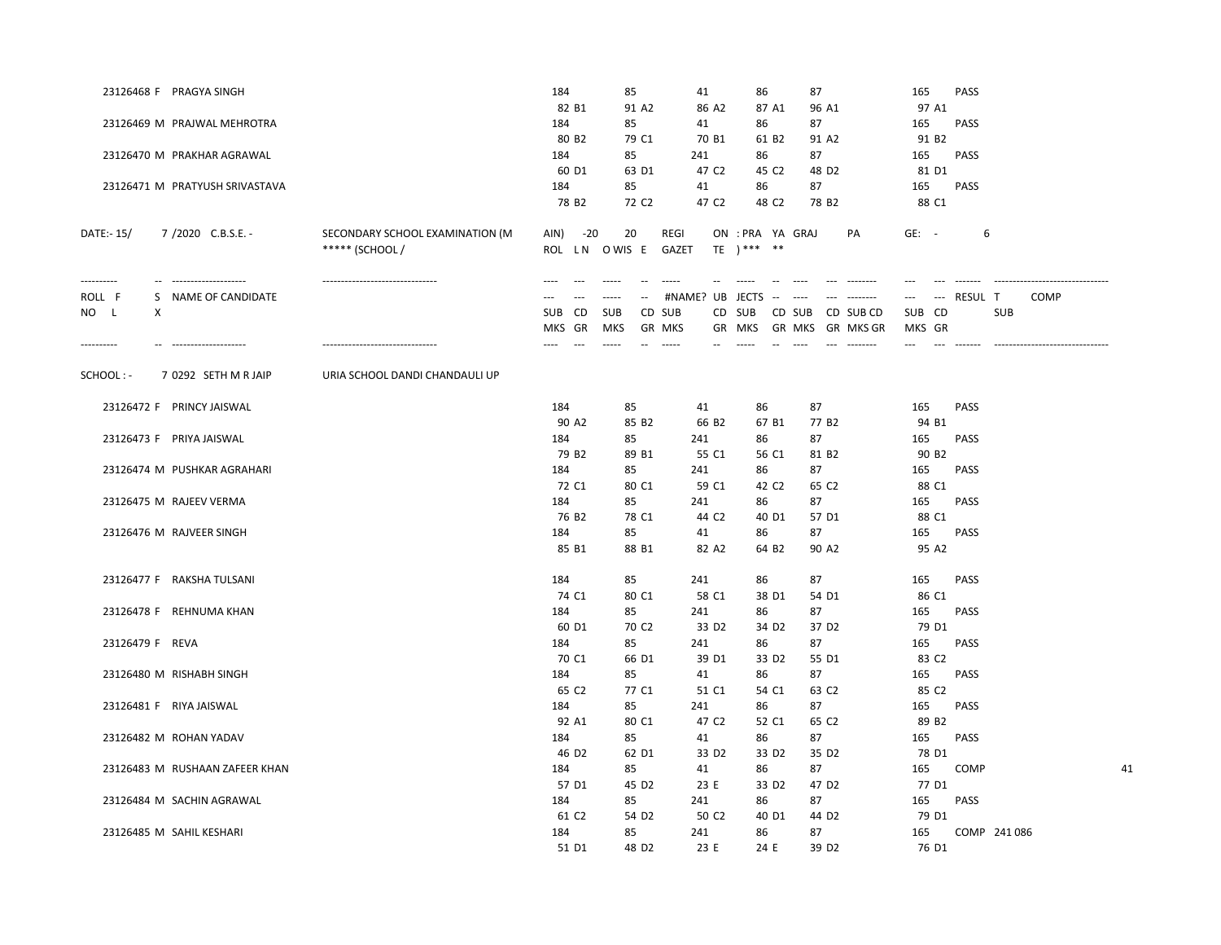|                 | 23126468 F PRAGYA SINGH        |                                 | 184                   | 85                |                                 | 41              |                   | 86               |                   | 87                |                                       | 165     |                          | PASS        |              |      |    |
|-----------------|--------------------------------|---------------------------------|-----------------------|-------------------|---------------------------------|-----------------|-------------------|------------------|-------------------|-------------------|---------------------------------------|---------|--------------------------|-------------|--------------|------|----|
|                 |                                |                                 | 82 B1                 | 91 A2             |                                 |                 | 86 A2             |                  | 87 A1             | 96 A1             |                                       |         | 97 A1                    |             |              |      |    |
|                 | 23126469 M PRAJWAL MEHROTRA    |                                 | 184                   | 85                |                                 | 41              |                   | 86               |                   | 87                |                                       | 165     |                          | <b>PASS</b> |              |      |    |
|                 |                                |                                 | 80 B <sub>2</sub>     | 79 C1             |                                 |                 | 70 B1             |                  | 61 B <sub>2</sub> | 91 A2             |                                       |         | 91 B <sub>2</sub>        |             |              |      |    |
|                 | 23126470 M PRAKHAR AGRAWAL     |                                 | 184                   | 85                |                                 | 241             |                   | 86               |                   | 87                |                                       | 165     |                          | PASS        |              |      |    |
|                 |                                |                                 | 60 D1                 | 63 D1             |                                 |                 | 47 C <sub>2</sub> |                  | 45 C <sub>2</sub> | 48 D <sub>2</sub> |                                       |         | 81 D1                    |             |              |      |    |
|                 | 23126471 M PRATYUSH SRIVASTAVA |                                 | 184                   | 85                |                                 | 41              |                   | 86               |                   | 87                |                                       | 165     |                          | <b>PASS</b> |              |      |    |
|                 |                                |                                 | 78 B <sub>2</sub>     | 72 C <sub>2</sub> |                                 |                 | 47 C <sub>2</sub> |                  | 48 C <sub>2</sub> | 78 B <sub>2</sub> |                                       |         | 88 C1                    |             |              |      |    |
| DATE:- 15/      | 7/2020 C.B.S.E. -              | SECONDARY SCHOOL EXAMINATION (M | AIN)<br>$-20$         | 20                |                                 | REGI            |                   | ON : PRA YA GRAJ |                   |                   | PA                                    | $GE: -$ |                          | 6           |              |      |    |
|                 |                                | ***** (SCHOOL /                 | ROL LN OWIS E         |                   |                                 | <b>GAZET</b>    |                   | TE $)****$ **    |                   |                   |                                       |         |                          |             |              |      |    |
| ----------      | --------------------           | ------------------------------- | $\sim$ $\sim$<br>---- | $--- -$           | $\sim$                          | $- - - - -$     |                   |                  |                   | $---$             | $- - - - - - - -$                     | ---     |                          |             |              |      |    |
| ROLL F          | S NAME OF CANDIDATE            |                                 |                       |                   | $\sim$ $\sim$                   | #NAME? UB       |                   | <b>JECTS</b>     |                   |                   |                                       | ---     | $\overline{\phantom{a}}$ | RESUL T     |              | COMP |    |
| NO L<br>X       |                                |                                 | CD<br><b>SUB</b>      | <b>SUB</b>        | CD SUB                          |                 | CD                | SUB              |                   | CD SUB            | CD SUB CD                             | SUB CD  |                          |             | <b>SUB</b>   |      |    |
| ----------      | --------------------           |                                 | GR<br>MKS             | MKS               | <b>GR MKS</b><br>$\overline{a}$ | $1 - 1 - 1 = 1$ |                   | GR MKS           |                   | GR MKS            | <b>GR MKS GR</b><br>$- - - - - - - -$ | MKS GR  |                          |             |              |      |    |
|                 |                                |                                 |                       |                   |                                 |                 |                   |                  |                   |                   |                                       |         |                          |             |              |      |    |
| SCHOOL : -      | 7 0292 SETH M R JAIP           | URIA SCHOOL DANDI CHANDAULI UP  |                       |                   |                                 |                 |                   |                  |                   |                   |                                       |         |                          |             |              |      |    |
|                 | 23126472 F PRINCY JAISWAL      |                                 | 184                   | 85                |                                 | 41              |                   | 86               |                   | 87                |                                       | 165     |                          | PASS        |              |      |    |
|                 |                                |                                 | 90 A2                 | 85 B <sub>2</sub> |                                 |                 | 66 B <sub>2</sub> |                  | 67 B1             | 77 B <sub>2</sub> |                                       |         | 94 B1                    |             |              |      |    |
|                 | 23126473 F PRIYA JAISWAL       |                                 | 184                   | 85                |                                 | 241             |                   | 86               |                   | 87                |                                       | 165     |                          | PASS        |              |      |    |
|                 |                                |                                 | 79 B <sub>2</sub>     | 89 B1             |                                 |                 | 55 C1             |                  | 56 C1             | 81 B <sub>2</sub> |                                       |         | 90 B <sub>2</sub>        |             |              |      |    |
|                 | 23126474 M PUSHKAR AGRAHARI    |                                 | 184                   | 85                |                                 | 241             |                   | 86               |                   | 87                |                                       | 165     |                          | PASS        |              |      |    |
|                 |                                |                                 | 72 C1                 | 80 C1             |                                 |                 | 59 C1             |                  | 42 C <sub>2</sub> | 65 C <sub>2</sub> |                                       |         | 88 C1                    |             |              |      |    |
|                 | 23126475 M RAJEEV VERMA        |                                 | 184                   | 85                |                                 | 241             |                   | 86               |                   | 87                |                                       | 165     |                          | <b>PASS</b> |              |      |    |
|                 |                                |                                 | 76 B <sub>2</sub>     | 78 C1             |                                 |                 | 44 C <sub>2</sub> |                  | 40 D1             | 57 D1             |                                       |         | 88 C1                    |             |              |      |    |
|                 | 23126476 M RAJVEER SINGH       |                                 | 184                   | 85                |                                 | 41              |                   | 86               |                   | 87                |                                       | 165     |                          | <b>PASS</b> |              |      |    |
|                 |                                |                                 | 85 B1                 | 88 B1             |                                 |                 | 82 A2             |                  | 64 B <sub>2</sub> | 90 A <sub>2</sub> |                                       |         | 95 A2                    |             |              |      |    |
|                 | 23126477 F RAKSHA TULSANI      |                                 | 184                   | 85                |                                 | 241             |                   | 86               |                   | 87                |                                       | 165     |                          | <b>PASS</b> |              |      |    |
|                 |                                |                                 | 74 C1                 | 80 C1             |                                 |                 | 58 C1             |                  | 38 D1             | 54 D1             |                                       |         | 86 C1                    |             |              |      |    |
|                 | 23126478 F REHNUMA KHAN        |                                 | 184                   | 85                |                                 | 241             |                   | 86               |                   | 87                |                                       | 165     |                          | PASS        |              |      |    |
|                 |                                |                                 | 60 D1                 | 70 C <sub>2</sub> |                                 |                 | 33 D <sub>2</sub> |                  | 34 D <sub>2</sub> | 37 D <sub>2</sub> |                                       |         | 79 D1                    |             |              |      |    |
| 23126479 F REVA |                                |                                 | 184                   | 85                |                                 | 241             |                   | 86               |                   | 87                |                                       | 165     |                          | <b>PASS</b> |              |      |    |
|                 |                                |                                 | 70 C1                 | 66 D1             |                                 |                 | 39 D1             |                  | 33 D <sub>2</sub> | 55 D1             |                                       |         | 83 C <sub>2</sub>        |             |              |      |    |
|                 | 23126480 M RISHABH SINGH       |                                 | 184                   | 85                |                                 | 41              |                   | 86               |                   | 87                |                                       | 165     |                          | PASS        |              |      |    |
|                 |                                |                                 | 65 C2                 | 77 C1             |                                 |                 | 51 C1             |                  | 54 C1             | 63 C <sub>2</sub> |                                       |         | 85 C2                    |             |              |      |    |
|                 | 23126481 F RIYA JAISWAL        |                                 | 184                   | 85                |                                 | 241             |                   | 86               |                   | 87                |                                       | 165     |                          | PASS        |              |      |    |
|                 |                                |                                 | 92 A1                 | 80 C1             |                                 |                 | 47 C <sub>2</sub> |                  | 52 C1             | 65 C <sub>2</sub> |                                       |         | 89 B <sub>2</sub>        |             |              |      |    |
|                 | 23126482 M ROHAN YADAV         |                                 | 184                   | 85                |                                 | 41              |                   | 86               |                   | 87                |                                       | 165     |                          | <b>PASS</b> |              |      |    |
|                 |                                |                                 | 46 D <sub>2</sub>     | 62 D1             |                                 |                 | 33 D <sub>2</sub> |                  | 33 D <sub>2</sub> | 35 D <sub>2</sub> |                                       |         | 78 D1                    |             |              |      |    |
|                 | 23126483 M RUSHAAN ZAFEER KHAN |                                 | 184                   | 85                |                                 | 41              |                   | 86               |                   | 87                |                                       | 165     |                          | <b>COMP</b> |              |      | 41 |
|                 |                                |                                 | 57 D1                 |                   | 45 D <sub>2</sub>               | 23 E            |                   |                  | 33 D <sub>2</sub> | 47 D <sub>2</sub> |                                       |         | 77 D1                    |             |              |      |    |
|                 | 23126484 M SACHIN AGRAWAL      |                                 | 184                   | 85                |                                 | 241             |                   | 86               |                   | 87                |                                       | 165     |                          | PASS        |              |      |    |
|                 |                                |                                 | 61 C <sub>2</sub>     |                   | 54 D <sub>2</sub>               |                 | 50 C <sub>2</sub> |                  | 40 D1             | 44 D <sub>2</sub> |                                       |         | 79 D1                    |             |              |      |    |
|                 | 23126485 M SAHIL KESHARI       |                                 | 184                   | 85                |                                 | 241             |                   | 86               |                   | 87                |                                       | 165     |                          |             | COMP 241 086 |      |    |
|                 |                                |                                 | 51 D1                 |                   | 48 D <sub>2</sub>               | 23 E            |                   | 24 E             |                   | 39 D <sub>2</sub> |                                       |         | 76 D1                    |             |              |      |    |
|                 |                                |                                 |                       |                   |                                 |                 |                   |                  |                   |                   |                                       |         |                          |             |              |      |    |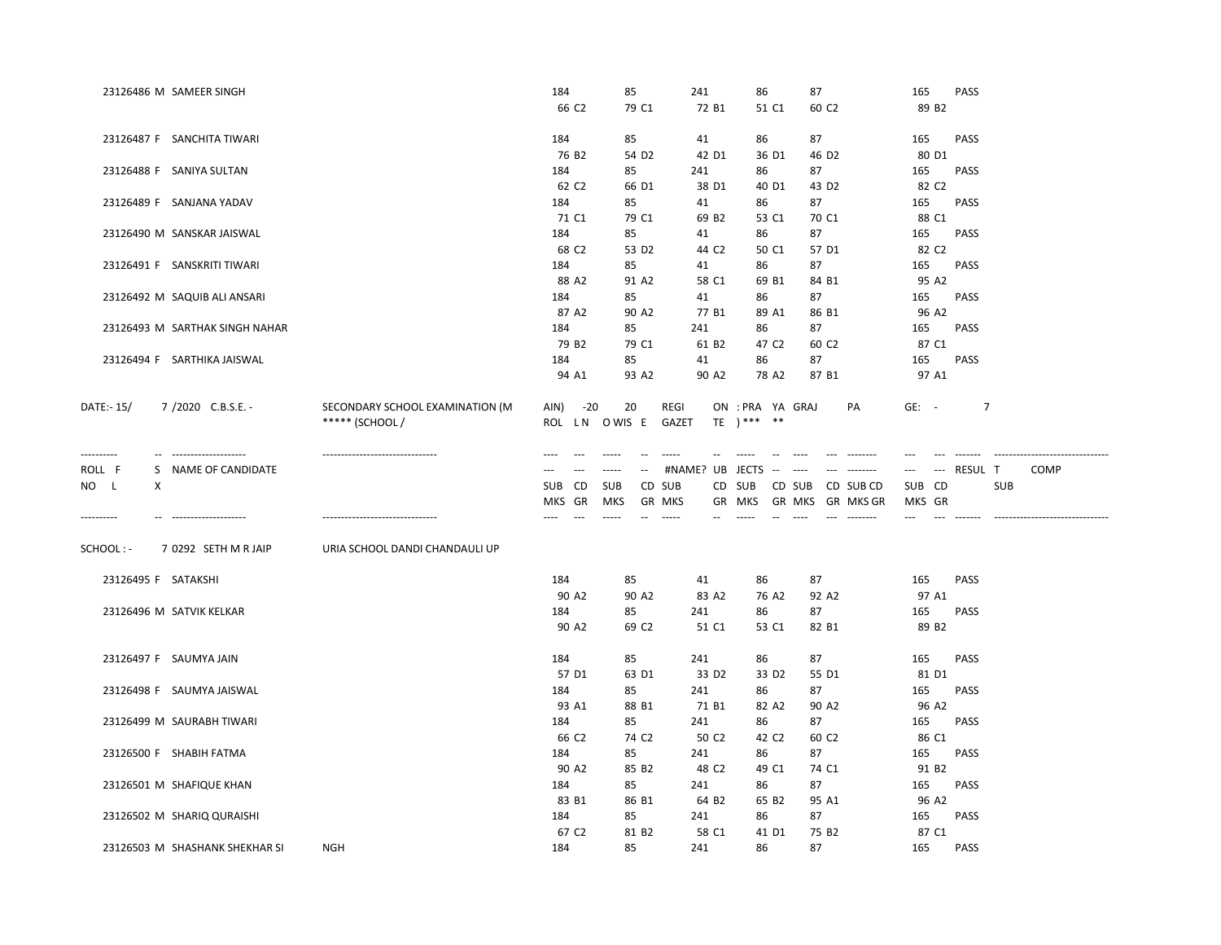|                     | 23126486 M SAMEER SINGH        |                                 | 184               | 85                        | 241               | 86                               | 87                                                                                                                                                                                                                                                                                                                                                                                                                                                                                       | PASS<br>165               |                                |
|---------------------|--------------------------------|---------------------------------|-------------------|---------------------------|-------------------|----------------------------------|------------------------------------------------------------------------------------------------------------------------------------------------------------------------------------------------------------------------------------------------------------------------------------------------------------------------------------------------------------------------------------------------------------------------------------------------------------------------------------------|---------------------------|--------------------------------|
|                     |                                |                                 | 66 C <sub>2</sub> | 79 C1                     | 72 B1             | 51 C1                            | 60 C <sub>2</sub>                                                                                                                                                                                                                                                                                                                                                                                                                                                                        | 89 B <sub>2</sub>         |                                |
|                     |                                |                                 |                   |                           |                   |                                  |                                                                                                                                                                                                                                                                                                                                                                                                                                                                                          |                           |                                |
|                     | 23126487 F SANCHITA TIWARI     |                                 | 184               | 85                        | 41                | 86                               | 87                                                                                                                                                                                                                                                                                                                                                                                                                                                                                       | PASS<br>165               |                                |
|                     |                                |                                 | 76 B <sub>2</sub> | 54 D <sub>2</sub>         | 42 D1             | 36 D1                            | 46 D <sub>2</sub>                                                                                                                                                                                                                                                                                                                                                                                                                                                                        | 80 D1                     |                                |
|                     | 23126488 F SANIYA SULTAN       |                                 | 184               | 85                        | 241               | 86                               | 87                                                                                                                                                                                                                                                                                                                                                                                                                                                                                       | 165<br><b>PASS</b>        |                                |
|                     |                                |                                 | 62 C <sub>2</sub> | 66 D1                     | 38 D1             | 40 D1                            | 43 D <sub>2</sub>                                                                                                                                                                                                                                                                                                                                                                                                                                                                        | 82 C <sub>2</sub>         |                                |
|                     | 23126489 F SANJANA YADAV       |                                 | 184               | 85                        | 41                | 86                               | 87                                                                                                                                                                                                                                                                                                                                                                                                                                                                                       | 165<br><b>PASS</b>        |                                |
|                     |                                |                                 | 71 C1             | 79 C1                     | 69 B <sub>2</sub> | 53 C1                            | 70 C1                                                                                                                                                                                                                                                                                                                                                                                                                                                                                    | 88 C1                     |                                |
|                     | 23126490 M SANSKAR JAISWAL     |                                 | 184               | 85                        | 41                | 86                               | 87                                                                                                                                                                                                                                                                                                                                                                                                                                                                                       | PASS<br>165               |                                |
|                     |                                |                                 | 68 C <sub>2</sub> | 53 D <sub>2</sub>         | 44 C <sub>2</sub> | 50 C1                            | 57 D1                                                                                                                                                                                                                                                                                                                                                                                                                                                                                    | 82 C <sub>2</sub>         |                                |
|                     | 23126491 F SANSKRITI TIWARI    |                                 | 184               | 85                        | 41                | 86                               | 87                                                                                                                                                                                                                                                                                                                                                                                                                                                                                       | PASS<br>165               |                                |
|                     |                                |                                 | 88 A2             | 91 A <sub>2</sub>         | 58 C1             | 69 B1                            | 84 B1                                                                                                                                                                                                                                                                                                                                                                                                                                                                                    | 95 A2                     |                                |
|                     | 23126492 M SAQUIB ALI ANSARI   |                                 | 184               | 85                        | 41                | 86                               | 87                                                                                                                                                                                                                                                                                                                                                                                                                                                                                       | 165<br>PASS               |                                |
|                     |                                |                                 | 87 A2             | 90 A2                     | 77 B1             | 89 A1                            | 86 B1                                                                                                                                                                                                                                                                                                                                                                                                                                                                                    | 96 A2                     |                                |
|                     | 23126493 M SARTHAK SINGH NAHAR |                                 | 184               | 85                        | 241               | 86                               | 87                                                                                                                                                                                                                                                                                                                                                                                                                                                                                       | 165<br><b>PASS</b>        |                                |
|                     |                                |                                 | 79 B <sub>2</sub> | 79 C1                     | 61 B <sub>2</sub> | 47 C <sub>2</sub>                | 60 C <sub>2</sub>                                                                                                                                                                                                                                                                                                                                                                                                                                                                        | 87 C1                     |                                |
|                     | 23126494 F SARTHIKA JAISWAL    |                                 | 184               | 85                        | 41                | 86                               | 87                                                                                                                                                                                                                                                                                                                                                                                                                                                                                       | 165<br><b>PASS</b>        |                                |
|                     |                                |                                 | 94 A1             | 93 A2                     | 90 A2             | 78 A2                            | 87 B1                                                                                                                                                                                                                                                                                                                                                                                                                                                                                    | 97 A1                     |                                |
|                     |                                |                                 |                   |                           |                   |                                  |                                                                                                                                                                                                                                                                                                                                                                                                                                                                                          |                           |                                |
| DATE:- 15/          | 7/2020 C.B.S.E. -              | SECONDARY SCHOOL EXAMINATION (M | AIN) -20          | 20                        | REGI              | ON : PRA YA GRAJ<br>TE $)***$ ** | PA                                                                                                                                                                                                                                                                                                                                                                                                                                                                                       | $GE: -$<br>$\overline{7}$ |                                |
|                     |                                | ***** (SCHOOL /                 | ROL LN OWIS E     |                           | GAZET             |                                  |                                                                                                                                                                                                                                                                                                                                                                                                                                                                                          |                           |                                |
| ----------          | -- --------------------        | ------------------------------  | $\cdots$<br>---   | $- - - - -$<br>$\sim$     |                   |                                  | $---$                                                                                                                                                                                                                                                                                                                                                                                                                                                                                    |                           | ------------------------------ |
| ROLL F              | S NAME OF CANDIDATE            |                                 | $---$<br>$---$    | $\cdots \cdots$<br>$\sim$ | #NAME? UB JECTS   | $\sim 10^{-1}$ , $\sim 10^{-1}$  | $\begin{tabular}{ll} - & - & - & - & - & - \\ & - & - & - & - \\ & - & - & - \\ & - & - & - \\ & - & - & - \\ & - & - & - \\ & - & - & - \\ & - & - & - \\ & - & - & - \\ & - & - & - \\ & - & - & - \\ & - & - & - \\ & - & - & - \\ & - & - & - \\ & - & - & - \\ & - & - & - \\ & - & - & - \\ & - & - & - \\ & - & - & - \\ & - & - & - \\ & - & - & - & - \\ & - & - & - & - \\ & - & - & - & - \\ & - & - & - & - \\ & - & - & - & - \\ & - & - & - & - \\ & - & - & - & - \\ & -$ | --- RESUL T<br>$\cdots$   | <b>COMP</b>                    |
| NO L<br>Χ           |                                |                                 | SUB CD            | <b>SUB</b><br>CD SUB      | CD SUB            |                                  | CD SUB CD SUB CD                                                                                                                                                                                                                                                                                                                                                                                                                                                                         | SUB CD<br><b>SUB</b>      |                                |
|                     |                                |                                 | MKS GR            | MKS<br><b>GR MKS</b>      | GR MKS            |                                  | GR MKS GR MKS GR                                                                                                                                                                                                                                                                                                                                                                                                                                                                         | MKS GR                    |                                |
| ---------           | -- --------------------        |                                 |                   | $- - - - -$               |                   |                                  |                                                                                                                                                                                                                                                                                                                                                                                                                                                                                          |                           |                                |
|                     |                                |                                 |                   |                           |                   |                                  |                                                                                                                                                                                                                                                                                                                                                                                                                                                                                          |                           |                                |
| SCHOOL: -           | 7 0292 SETH M R JAIP           | URIA SCHOOL DANDI CHANDAULI UP  |                   |                           |                   |                                  |                                                                                                                                                                                                                                                                                                                                                                                                                                                                                          |                           |                                |
|                     |                                |                                 |                   |                           |                   |                                  |                                                                                                                                                                                                                                                                                                                                                                                                                                                                                          |                           |                                |
| 23126495 F SATAKSHI |                                |                                 | 184               | 85                        | 41                | 86                               | 87                                                                                                                                                                                                                                                                                                                                                                                                                                                                                       | PASS<br>165               |                                |
|                     |                                |                                 | 90 A <sub>2</sub> | 90 A <sub>2</sub>         | 83 A2             | 76 A2                            | 92 A2                                                                                                                                                                                                                                                                                                                                                                                                                                                                                    | 97 A1                     |                                |
|                     | 23126496 M SATVIK KELKAR       |                                 | 184               | 85                        | 241               | 86                               | 87                                                                                                                                                                                                                                                                                                                                                                                                                                                                                       | 165<br>PASS               |                                |
|                     |                                |                                 | 90 A2             | 69 C <sub>2</sub>         | 51 C1             | 53 C1                            | 82 B1                                                                                                                                                                                                                                                                                                                                                                                                                                                                                    | 89 B <sub>2</sub>         |                                |
|                     |                                |                                 |                   |                           |                   |                                  |                                                                                                                                                                                                                                                                                                                                                                                                                                                                                          |                           |                                |
|                     | 23126497 F SAUMYA JAIN         |                                 | 184               | 85                        | 241               | 86                               | 87                                                                                                                                                                                                                                                                                                                                                                                                                                                                                       | PASS<br>165               |                                |
|                     |                                |                                 | 57 D1             | 63 D1                     | 33 D <sub>2</sub> | 33 D <sub>2</sub>                | 55 D1                                                                                                                                                                                                                                                                                                                                                                                                                                                                                    | 81 D1                     |                                |
|                     | 23126498 F SAUMYA JAISWAL      |                                 | 184               | 85                        | 241               | 86                               | 87                                                                                                                                                                                                                                                                                                                                                                                                                                                                                       | 165<br>PASS               |                                |
|                     |                                |                                 | 93 A1             | 88 B1                     | 71 B1             | 82 A2                            | 90 A2                                                                                                                                                                                                                                                                                                                                                                                                                                                                                    | 96 A2                     |                                |
|                     | 23126499 M SAURABH TIWARI      |                                 | 184               | 85                        | 241               | 86                               | 87                                                                                                                                                                                                                                                                                                                                                                                                                                                                                       | PASS<br>165               |                                |
|                     |                                |                                 | 66 C <sub>2</sub> | 74 C <sub>2</sub>         | 50 C <sub>2</sub> | 42 C <sub>2</sub>                | 60 C <sub>2</sub>                                                                                                                                                                                                                                                                                                                                                                                                                                                                        | 86 C1                     |                                |
|                     | 23126500 F SHABIH FATMA        |                                 | 184               | 85                        | 241               | 86                               | 87                                                                                                                                                                                                                                                                                                                                                                                                                                                                                       | 165<br><b>PASS</b>        |                                |
|                     |                                |                                 | 90 A <sub>2</sub> | 85 B <sub>2</sub>         | 48 C <sub>2</sub> | 49 C1                            | 74 C1                                                                                                                                                                                                                                                                                                                                                                                                                                                                                    | 91 B <sub>2</sub>         |                                |
|                     | 23126501 M SHAFIQUE KHAN       |                                 | 184               | 85                        | 241               | 86                               | 87                                                                                                                                                                                                                                                                                                                                                                                                                                                                                       | PASS<br>165               |                                |
|                     |                                |                                 | 83 B1             | 86 B1                     | 64 B <sub>2</sub> | 65 B2                            | 95 A1                                                                                                                                                                                                                                                                                                                                                                                                                                                                                    | 96 A2                     |                                |
|                     | 23126502 M SHARIQ QURAISHI     |                                 | 184               | 85                        | 241               | 86                               | 87                                                                                                                                                                                                                                                                                                                                                                                                                                                                                       | PASS<br>165               |                                |
|                     |                                |                                 | 67 C <sub>2</sub> | 81 B <sub>2</sub>         | 58 C1             | 41 D1                            | 75 B <sub>2</sub>                                                                                                                                                                                                                                                                                                                                                                                                                                                                        | 87 C1                     |                                |
|                     | 23126503 M SHASHANK SHEKHAR SI | <b>NGH</b>                      | 184               | 85                        | 241               | 86                               | 87                                                                                                                                                                                                                                                                                                                                                                                                                                                                                       | 165<br><b>PASS</b>        |                                |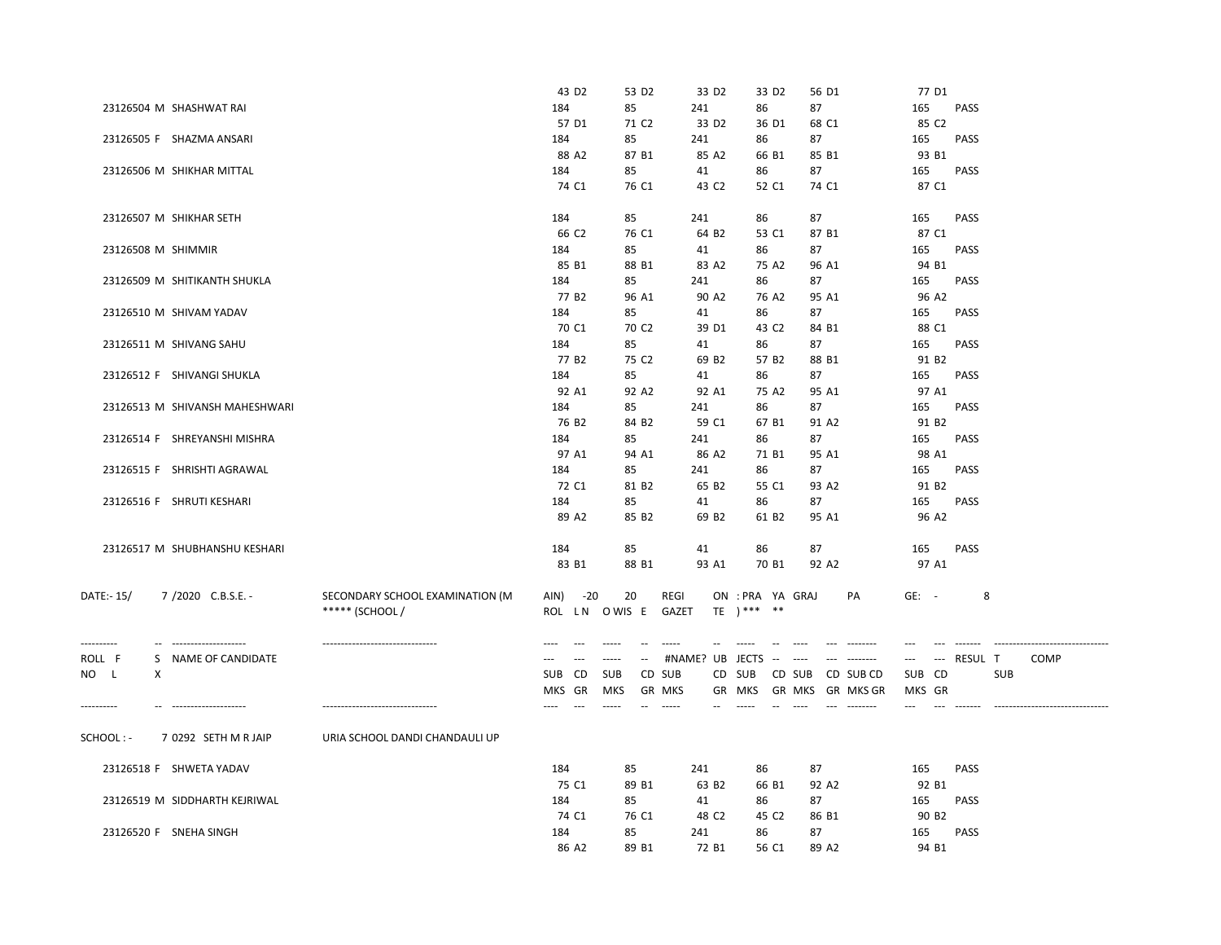|                                       |                                  | 43 D <sub>2</sub>       | 53 D <sub>2</sub>                    | 33 D <sub>2</sub>     | 33 D <sub>2</sub>                                 | 56 D1                                                                                                                 | 77 D1                    |                                              |
|---------------------------------------|----------------------------------|-------------------------|--------------------------------------|-----------------------|---------------------------------------------------|-----------------------------------------------------------------------------------------------------------------------|--------------------------|----------------------------------------------|
| 23126504 M SHASHWAT RAI               |                                  | 184                     | 85                                   | 241                   | 86                                                | 87                                                                                                                    | 165                      | <b>PASS</b>                                  |
|                                       |                                  | 57 D1                   | 71 C <sub>2</sub>                    | 33 D <sub>2</sub>     | 36 D1                                             | 68 C1                                                                                                                 | 85 C <sub>2</sub>        |                                              |
| 23126505 F SHAZMA ANSARI              |                                  | 184                     | 85                                   | 241                   | 86                                                | 87                                                                                                                    | 165                      | PASS                                         |
|                                       |                                  | 88 A2                   | 87 B1                                | 85 A2                 | 66 B1                                             | 85 B1                                                                                                                 | 93 B1                    |                                              |
| 23126506 M SHIKHAR MITTAL             |                                  | 184                     | 85                                   | 41                    | 86                                                | 87                                                                                                                    | 165                      | <b>PASS</b>                                  |
|                                       |                                  | 74 C1                   | 76 C1                                | 43 C <sub>2</sub>     | 52 C1                                             | 74 C1                                                                                                                 | 87 C1                    |                                              |
|                                       |                                  |                         |                                      |                       |                                                   |                                                                                                                       |                          |                                              |
| 23126507 M SHIKHAR SETH               |                                  | 184                     | 85                                   | 241                   | 86                                                | 87                                                                                                                    | 165                      | <b>PASS</b>                                  |
|                                       |                                  | 66 C2                   | 76 C1                                | 64 B2                 | 53 C1                                             | 87 B1                                                                                                                 | 87 C1                    |                                              |
| 23126508 M SHIMMIR                    |                                  | 184                     | 85                                   | 41                    | 86                                                | 87                                                                                                                    | 165                      | PASS                                         |
|                                       |                                  | 85 B1                   | 88 B1                                | 83 A2                 | 75 A2                                             | 96 A1                                                                                                                 | 94 B1                    |                                              |
|                                       |                                  |                         |                                      |                       |                                                   |                                                                                                                       |                          |                                              |
| 23126509 M SHITIKANTH SHUKLA          |                                  | 184                     | 85                                   | 241                   | 86                                                | 87                                                                                                                    | 165                      | PASS                                         |
|                                       |                                  | 77 B <sub>2</sub>       | 96 A1                                | 90 A2                 | 76 A2                                             | 95 A1                                                                                                                 | 96 A2                    |                                              |
| 23126510 M SHIVAM YADAV               |                                  | 184                     | 85                                   | 41                    | 86                                                | 87                                                                                                                    | 165                      | <b>PASS</b>                                  |
|                                       |                                  | 70 C1                   | 70 C <sub>2</sub>                    | 39 D1                 | 43 C <sub>2</sub>                                 | 84 B1                                                                                                                 | 88 C1                    |                                              |
| 23126511 M SHIVANG SAHU               |                                  | 184                     | 85                                   | 41                    | 86                                                | 87                                                                                                                    | 165                      | <b>PASS</b>                                  |
|                                       |                                  | 77 B <sub>2</sub>       | 75 C <sub>2</sub>                    | 69 B <sub>2</sub>     | 57 B <sub>2</sub>                                 | 88 B1                                                                                                                 | 91 B <sub>2</sub>        |                                              |
| 23126512 F SHIVANGI SHUKLA            |                                  | 184                     | 85                                   | 41                    | 86                                                | 87                                                                                                                    | 165                      | <b>PASS</b>                                  |
|                                       |                                  | 92 A1                   | 92 A2                                | 92 A1                 | 75 A2                                             | 95 A1                                                                                                                 | 97 A1                    |                                              |
| 23126513 M SHIVANSH MAHESHWARI        |                                  | 184                     | 85                                   | 241                   | 86                                                | 87                                                                                                                    | 165                      | <b>PASS</b>                                  |
|                                       |                                  | 76 B <sub>2</sub>       | 84 B <sub>2</sub>                    | 59 C1                 | 67 B1                                             | 91 A2                                                                                                                 | 91 B <sub>2</sub>        |                                              |
| 23126514 F SHREYANSHI MISHRA          |                                  | 184                     | 85                                   | 241                   | 86                                                | 87                                                                                                                    | 165                      | <b>PASS</b>                                  |
|                                       |                                  | 97 A1                   | 94 A1                                | 86 A2                 | 71 B1                                             | 95 A1                                                                                                                 | 98 A1                    |                                              |
| 23126515 F SHRISHTI AGRAWAL           |                                  | 184                     | 85                                   | 241                   | 86                                                | 87                                                                                                                    | 165                      | <b>PASS</b>                                  |
|                                       |                                  | 72 C1                   | 81 B <sub>2</sub>                    | 65 B <sub>2</sub>     | 55 C1                                             | 93 A2                                                                                                                 | 91 B <sub>2</sub>        |                                              |
| 23126516 F SHRUTI KESHARI             |                                  | 184                     | 85                                   | 41                    | 86                                                | 87                                                                                                                    | 165                      | PASS                                         |
|                                       |                                  | 89 A2                   | 85 B <sub>2</sub>                    | 69 B <sub>2</sub>     | 61 B <sub>2</sub>                                 | 95 A1                                                                                                                 | 96 A2                    |                                              |
|                                       |                                  |                         |                                      |                       |                                                   |                                                                                                                       |                          |                                              |
| 23126517 M SHUBHANSHU KESHARI         |                                  | 184                     | 85                                   | 41                    | 86                                                | 87                                                                                                                    | 165                      | PASS                                         |
|                                       |                                  | 83 B1                   | 88 B1                                | 93 A1                 | 70 B1                                             | 92 A2                                                                                                                 | 97 A1                    |                                              |
|                                       |                                  |                         |                                      |                       |                                                   |                                                                                                                       |                          |                                              |
| DATE:- 15/<br>7/2020 C.B.S.E. -       | SECONDARY SCHOOL EXAMINATION (M  | AIN)<br>$-20$           | 20                                   | REGI                  | ON : PRA YA GRAJ                                  | PA                                                                                                                    | $GE: -$                  | 8                                            |
|                                       | ***** (SCHOOL /                  |                         | ROL LN OWIS E                        | GAZET                 | TE $)***$ **                                      |                                                                                                                       |                          |                                              |
|                                       |                                  |                         |                                      |                       |                                                   |                                                                                                                       |                          |                                              |
| ----------<br>-- -------------------- | -------------------------------- | ----<br>$\overline{a}$  | $- - - - -$<br>$\sim$ $\sim$         | $- - - - -$           | $\sim$                                            | $- - - - - - - -$<br>$---$                                                                                            | $-$                      |                                              |
|                                       |                                  |                         |                                      |                       |                                                   | $---$                                                                                                                 |                          |                                              |
| ROLL F<br>S NAME OF CANDIDATE         |                                  | $\overline{a}$<br>$---$ | $\cdots$<br>$\overline{\phantom{a}}$ | #NAME? UB JECTS       | $\omega_{\rm{m}}=-\omega_{\rm{m}}\omega_{\rm{m}}$ |                                                                                                                       | $\hspace{0.05cm} \ldots$ | --- RESUL T<br><b>COMP</b>                   |
| NO L<br>X                             |                                  | SUB CD                  | <b>SUB</b>                           | CD SUB                | CD SUB                                            | CD SUB<br>CD SUB CD                                                                                                   | SUB CD                   | SUB                                          |
|                                       |                                  | MKS GR                  | <b>MKS</b>                           | <b>GR MKS</b>         | GR MKS                                            | GR MKS GR MKS GR                                                                                                      | MKS GR                   |                                              |
| ----------<br>-- -------------------- | -------------------------------  | $---$<br>$\cdots$       | $- - - - -$<br>$\sim$ $\sim$         | $\sim$<br>$- - - - -$ | $\sim$<br>$--- -$                                 | $\begin{array}{ccc} - & - & - & - & - & - & - \\ & - & - & - & - & - & - \\ & - & - & - & - & - \end{array}$<br>1.111 | ---<br>$---$             | --------------------------------<br>-------- |
|                                       |                                  |                         |                                      |                       |                                                   |                                                                                                                       |                          |                                              |
| SCHOOL: -<br>7 0292 SETH M R JAIP     | URIA SCHOOL DANDI CHANDAULI UP   |                         |                                      |                       |                                                   |                                                                                                                       |                          |                                              |
|                                       |                                  |                         |                                      |                       |                                                   |                                                                                                                       |                          |                                              |
| 23126518 F SHWETA YADAV               |                                  | 184                     | 85                                   | 241                   | 86                                                | 87                                                                                                                    | 165                      | PASS                                         |
|                                       |                                  | 75 C1                   | 89 B1                                | 63 B <sub>2</sub>     | 66 B1                                             | 92 A <sub>2</sub>                                                                                                     | 92 B1                    |                                              |
| 23126519 M SIDDHARTH KEJRIWAL         |                                  | 184                     | 85                                   | 41                    | 86                                                | 87                                                                                                                    | 165                      | PASS                                         |
|                                       |                                  | 74 C1                   | 76 C1                                | 48 C <sub>2</sub>     | 45 C <sub>2</sub>                                 | 86 B1                                                                                                                 | 90 B <sub>2</sub>        |                                              |
| 23126520 F SNEHA SINGH                |                                  | 184                     | 85                                   | 241                   | 86                                                | 87                                                                                                                    | 165                      | <b>PASS</b>                                  |
|                                       |                                  | 86 A2                   | 89 B1                                | 72 B1                 | 56 C1                                             | 89 A2                                                                                                                 | 94 B1                    |                                              |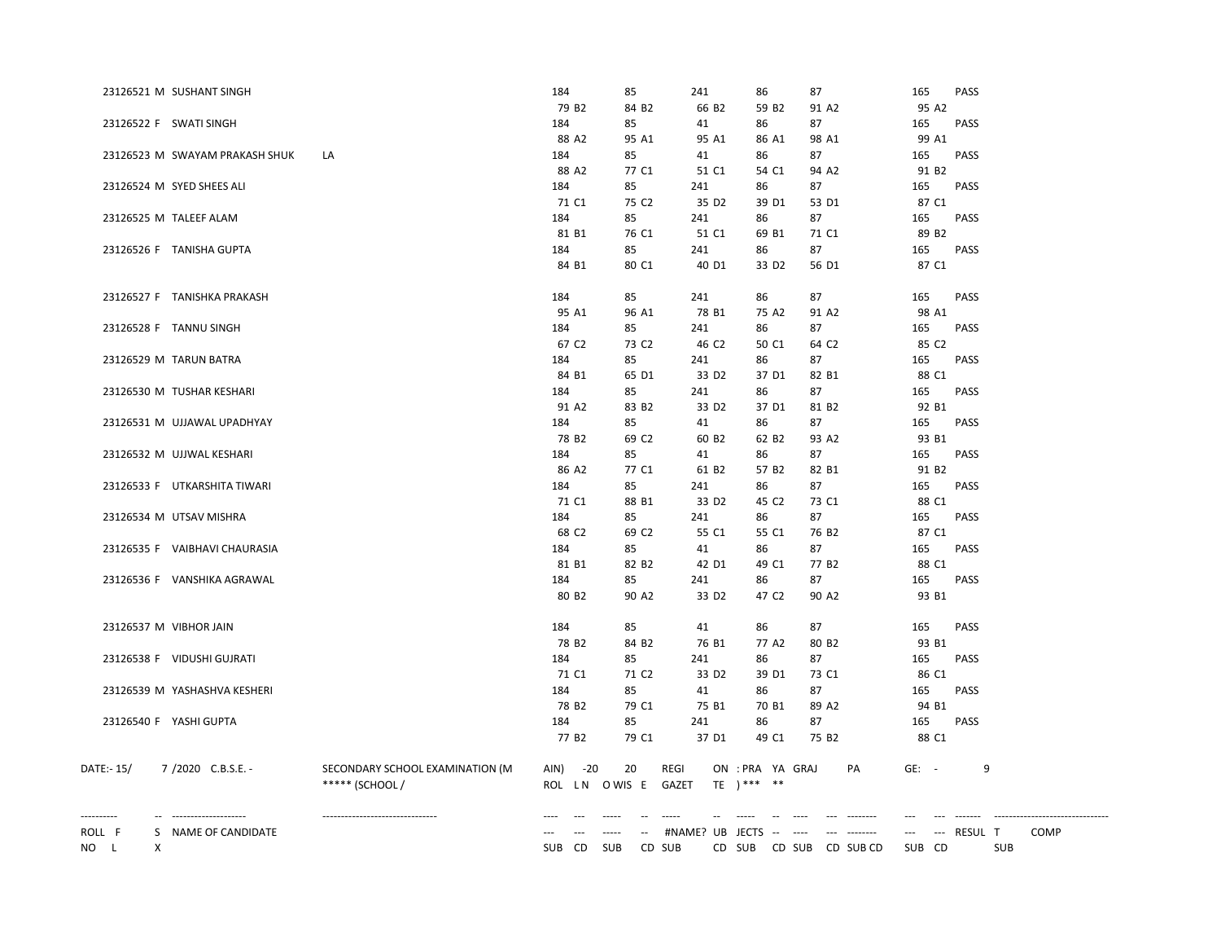| 23126521 M SUSHANT SINGH                                 |                                                    | 184                            | 85                | 241                  | 86                               | 87                                       | 165                | PASS                              |
|----------------------------------------------------------|----------------------------------------------------|--------------------------------|-------------------|----------------------|----------------------------------|------------------------------------------|--------------------|-----------------------------------|
|                                                          |                                                    | 79 B <sub>2</sub>              | 84 B <sub>2</sub> | 66 B <sub>2</sub>    | 59 B <sub>2</sub>                | 91 A2                                    | 95 A2              |                                   |
| 23126522 F SWATI SINGH                                   |                                                    | 184                            | 85                | 41                   | 86                               | 87                                       | 165                | PASS                              |
|                                                          |                                                    | 88 A2                          | 95 A1             | 95 A1                | 86 A1                            | 98 A1                                    | 99 A1              |                                   |
| 23126523 M SWAYAM PRAKASH SHUK                           | LA                                                 | 184                            | 85                | 41                   | 86                               | 87                                       | 165                | PASS                              |
|                                                          |                                                    | 88 A2                          | 77 C1             | 51 C1                | 54 C1                            | 94 A2                                    | 91 B <sub>2</sub>  |                                   |
| 23126524 M SYED SHEES ALI                                |                                                    | 184                            | 85                | 241                  | 86                               | 87                                       | 165                | <b>PASS</b>                       |
|                                                          |                                                    | 71 C1                          | 75 C <sub>2</sub> | 35 D <sub>2</sub>    | 39 D1                            | 53 D1                                    | 87 C1              |                                   |
| 23126525 M TALEEF ALAM                                   |                                                    | 184                            | 85                | 241                  | 86                               | 87                                       | 165                | PASS                              |
|                                                          |                                                    | 81 B1                          | 76 C1             | 51 C1                | 69 B1                            | 71 C1                                    | 89 B <sub>2</sub>  |                                   |
| 23126526 F TANISHA GUPTA                                 |                                                    | 184                            | 85                | 241                  | 86                               | 87                                       | 165                | PASS                              |
|                                                          |                                                    | 84 B1                          | 80 C1             | 40 D1                | 33 D <sub>2</sub>                | 56 D1                                    | 87 C1              |                                   |
| 23126527 F TANISHKA PRAKASH                              |                                                    | 184                            | 85                | 241                  | 86                               | 87                                       | 165                | PASS                              |
|                                                          |                                                    | 95 A1                          | 96 A1             | 78 B1                | 75 A2                            | 91 A2                                    | 98 A1              |                                   |
| 23126528 F TANNU SINGH                                   |                                                    | 184                            | 85                | 241                  | 86                               | 87                                       | 165                | PASS                              |
|                                                          |                                                    | 67 C <sub>2</sub>              | 73 C <sub>2</sub> | 46 C <sub>2</sub>    | 50 C1                            | 64 C <sub>2</sub>                        | 85 C2              |                                   |
| 23126529 M TARUN BATRA                                   |                                                    | 184                            | 85                | 241                  | 86                               | 87                                       | 165                | <b>PASS</b>                       |
|                                                          |                                                    | 84 B1                          | 65 D1             | 33 D <sub>2</sub>    | 37 D1                            | 82 B1                                    | 88 C1              |                                   |
| 23126530 M TUSHAR KESHARI                                |                                                    | 184                            | 85                | 241                  | 86                               | 87                                       | 165                | <b>PASS</b>                       |
|                                                          |                                                    | 91 A2                          | 83 B <sub>2</sub> | 33 D <sub>2</sub>    | 37 D1                            | 81 B2                                    | 92 B1              |                                   |
| 23126531 M UJJAWAL UPADHYAY                              |                                                    | 184                            | 85                | 41                   | 86                               | 87                                       | 165                | <b>PASS</b>                       |
|                                                          |                                                    | 78 B <sub>2</sub>              | 69 C <sub>2</sub> | 60 B <sub>2</sub>    | 62 B <sub>2</sub>                | 93 A2                                    | 93 B1              |                                   |
| 23126532 M UJJWAL KESHARI                                |                                                    | 184                            | 85                | 41                   | 86                               | 87                                       | 165                | PASS                              |
|                                                          |                                                    | 86 A2                          | 77 C1             | 61 B2                | 57 B <sub>2</sub>                | 82 B1                                    | 91 B <sub>2</sub>  |                                   |
| 23126533 F UTKARSHITA TIWARI                             |                                                    | 184                            | 85                | 241                  | 86                               | 87                                       | 165                | PASS                              |
|                                                          |                                                    | 71 C1                          | 88 B1             | 33 D <sub>2</sub>    | 45 C <sub>2</sub>                | 73 C1                                    | 88 C1              |                                   |
| 23126534 M UTSAV MISHRA                                  |                                                    | 184                            | 85                | 241                  | 86                               | 87                                       | 165                | PASS                              |
|                                                          |                                                    | 68 C2                          | 69 C <sub>2</sub> | 55 C1                | 55 C1                            | 76 B <sub>2</sub>                        | 87 C1              |                                   |
| 23126535 F VAIBHAVI CHAURASIA                            |                                                    | 184                            | 85                | 41                   | 86                               | 87                                       | 165                | PASS                              |
|                                                          |                                                    | 81 B1                          | 82 B <sub>2</sub> | 42 D1                | 49 C1                            | 77 B <sub>2</sub>                        | 88 C1              |                                   |
| 23126536 F VANSHIKA AGRAWAL                              |                                                    | 184                            | 85                | 241                  | 86                               | 87                                       | 165                | PASS                              |
|                                                          |                                                    | 80 B <sub>2</sub>              | 90 A2             | 33 D <sub>2</sub>    | 47 C <sub>2</sub>                | 90 A <sub>2</sub>                        | 93 B1              |                                   |
| 23126537 M VIBHOR JAIN                                   |                                                    | 184                            | 85                | 41                   | 86                               | 87                                       | 165                | PASS                              |
|                                                          |                                                    | 78 B <sub>2</sub>              | 84 B <sub>2</sub> | 76 B1                | 77 A2                            | 80 B <sub>2</sub>                        | 93 B1              |                                   |
| 23126538 F VIDUSHI GUJRATI                               |                                                    | 184                            | 85                | 241                  | 86                               | 87                                       | 165                | <b>PASS</b>                       |
|                                                          |                                                    | 71 C1                          | 71 C <sub>2</sub> | 33 D <sub>2</sub>    | 39 D1                            | 73 C1                                    | 86 C1              |                                   |
| 23126539 M YASHASHVA KESHERI                             |                                                    | 184                            | 85                | 41                   | 86                               | 87                                       | 165                | <b>PASS</b>                       |
|                                                          |                                                    | 78 B <sub>2</sub>              | 79 C1             | 75 B1                | 70 B1                            | 89 A2                                    | 94 B1              |                                   |
| 23126540 F YASHI GUPTA                                   |                                                    | 184                            | 85                | 241                  | 86                               | 87                                       | 165                | PASS                              |
|                                                          |                                                    | 77 B <sub>2</sub>              | 79 C1             | 37 D1                | 49 C1                            | 75 B <sub>2</sub>                        | 88 C1              |                                   |
| DATE:- 15/<br>7/2020 C.B.S.E. -                          | SECONDARY SCHOOL EXAMINATION (M<br>***** (SCHOOL / | AIN)<br>$-20$<br>ROL LN OWIS E | 20                | <b>REGI</b><br>GAZET | ON : PRA YA GRAJ<br>TE $)***$ ** | PA                                       | $GE: -$            | 9                                 |
| ----------<br>S NAME OF CANDIDATE<br>ROLL F<br>X<br>NO L |                                                    | SUB CD                         | SUB<br>CD SUB     | #NAME? UB JECTS      | $\sim$                           | $\sim$ $\sim$<br>CD SUB CD SUB CD SUB CD | $\cdots$<br>SUB CD | --- RESUL T<br><b>COMP</b><br>SUB |